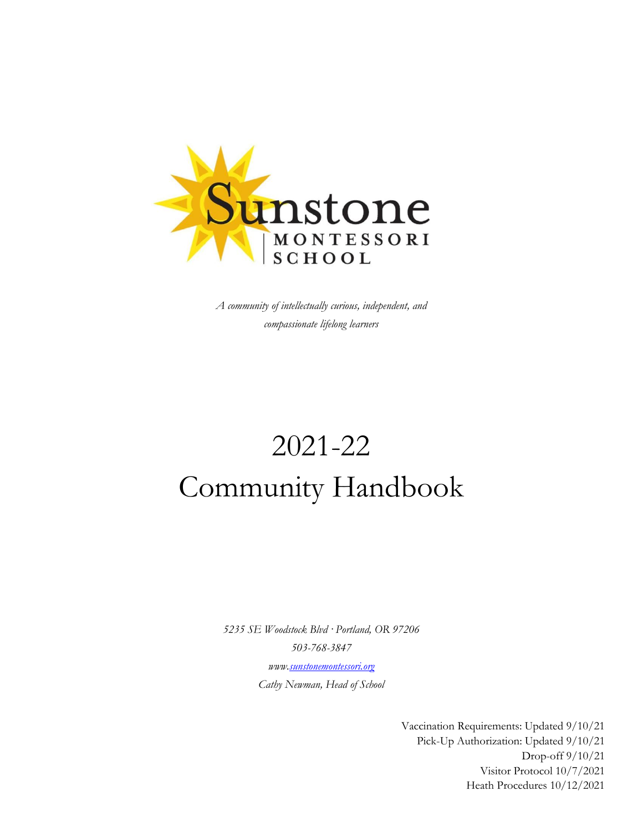

*A community of intellectually curious, independent, and compassionate lifelong learners*

# 2021-22 Community Handbook

*5235 SE Woodstock Blvd · Portland, OR 97206 503-768-3847 ww[w.sunstonemontessori.org](mailto:info@sunstonemontessori.org) Cathy Newman, Head of School*

> Vaccination Requirements: Updated 9/10/21 Pick-Up Authorization: Updated 9/10/21 Drop-off 9/10/21 Visitor Protocol 10/7/2021 Heath Procedures 10/12/2021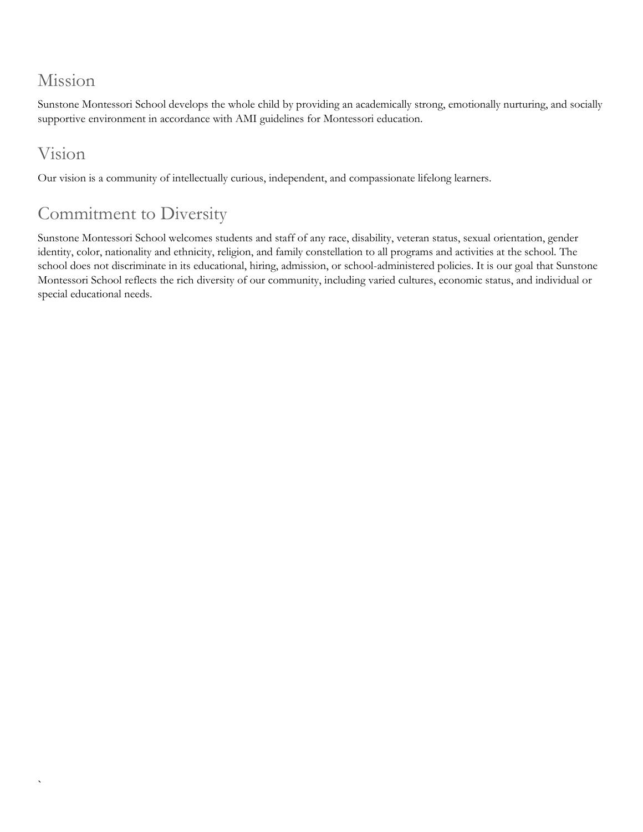## Mission

Sunstone Montessori School develops the whole child by providing an academically strong, emotionally nurturing, and socially supportive environment in accordance with AMI guidelines for Montessori education.

# Vision

`

Our vision is a community of intellectually curious, independent, and compassionate lifelong learners.

# Commitment to Diversity

Sunstone Montessori School welcomes students and staff of any race, disability, veteran status, sexual orientation, gender identity, color, nationality and ethnicity, religion, and family constellation to all programs and activities at the school. The school does not discriminate in its educational, hiring, admission, or school-administered policies. It is our goal that Sunstone Montessori School reflects the rich diversity of our community, including varied cultures, economic status, and individual or special educational needs.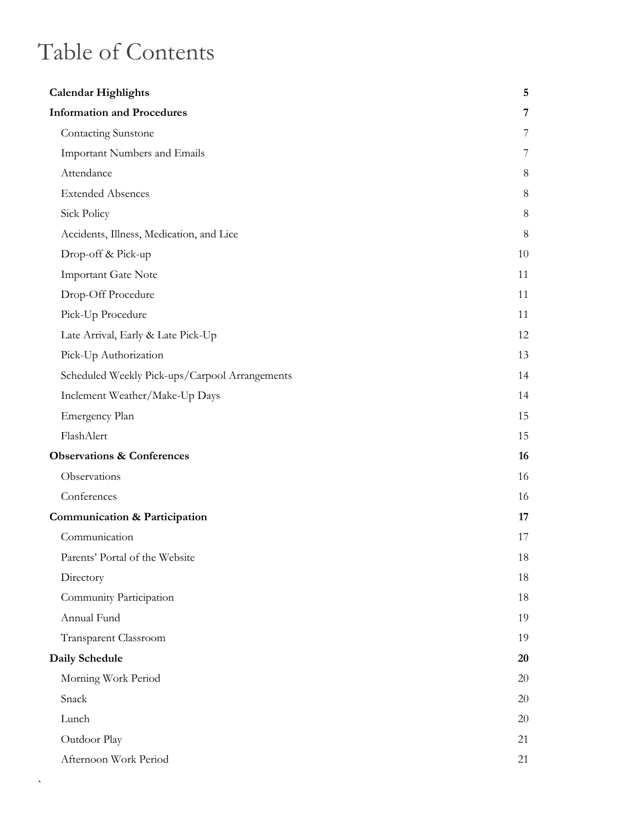# Table of Contents

 $\bar{\mathbf{v}}$ 

| <b>Calendar Highlights</b>                     | 5       |
|------------------------------------------------|---------|
| <b>Information and Procedures</b>              | 7       |
| <b>Contacting Sunstone</b>                     | 7       |
| <b>Important Numbers and Emails</b>            | 7       |
| Attendance                                     | 8       |
| <b>Extended Absences</b>                       | 8       |
| Sick Policy                                    | $\,8\,$ |
| Accidents, Illness, Medication, and Lice       | 8       |
| Drop-off & Pick-up                             | 10      |
| <b>Important Gate Note</b>                     | 11      |
| Drop-Off Procedure                             | 11      |
| Pick-Up Procedure                              | 11      |
| Late Arrival, Early & Late Pick-Up             | 12      |
| Pick-Up Authorization                          | 13      |
| Scheduled Weekly Pick-ups/Carpool Arrangements | 14      |
| Inclement Weather/Make-Up Days                 | 14      |
| Emergency Plan                                 | 15      |
| FlashAlert                                     | 15      |
| <b>Observations &amp; Conferences</b>          | 16      |
| Observations                                   | 16      |
| Conferences                                    | 16      |
| <b>Communication &amp; Participation</b>       | 17      |
| Communication                                  | 17      |
| Parents' Portal of the Website                 | 18      |
| Directory                                      | 18      |
| Community Participation                        | 18      |
| Annual Fund                                    | 19      |
| Transparent Classroom                          | 19      |
| Daily Schedule                                 | 20      |
| Morning Work Period                            | 20      |
| Snack                                          | 20      |
| Lunch                                          | 20      |
| Outdoor Play                                   | 21      |
| Afternoon Work Period                          | 21      |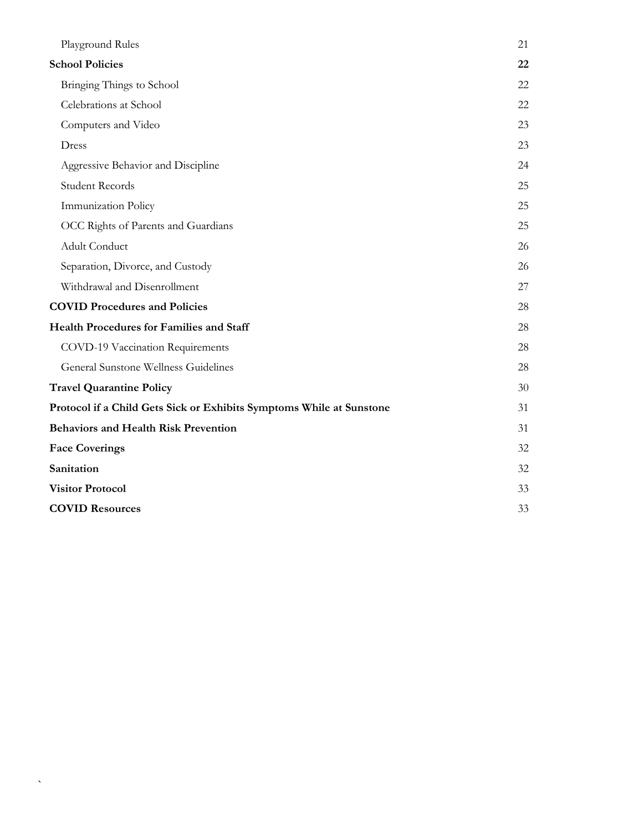| Playground Rules                                                     | 21 |
|----------------------------------------------------------------------|----|
| <b>School Policies</b>                                               | 22 |
| Bringing Things to School                                            | 22 |
| Celebrations at School                                               | 22 |
| Computers and Video                                                  | 23 |
| Dress                                                                | 23 |
| Aggressive Behavior and Discipline                                   | 24 |
| <b>Student Records</b>                                               | 25 |
| Immunization Policy                                                  | 25 |
| OCC Rights of Parents and Guardians                                  | 25 |
| Adult Conduct                                                        | 26 |
| Separation, Divorce, and Custody                                     | 26 |
| Withdrawal and Disenrollment                                         | 27 |
| <b>COVID Procedures and Policies</b>                                 | 28 |
| <b>Health Procedures for Families and Staff</b>                      | 28 |
| COVD-19 Vaccination Requirements                                     | 28 |
| General Sunstone Wellness Guidelines                                 | 28 |
| <b>Travel Quarantine Policy</b>                                      | 30 |
| Protocol if a Child Gets Sick or Exhibits Symptoms While at Sunstone | 31 |
| <b>Behaviors and Health Risk Prevention</b>                          | 31 |
| <b>Face Coverings</b>                                                | 32 |
| Sanitation                                                           | 32 |
| <b>Visitor Protocol</b>                                              | 33 |
| <b>COVID Resources</b>                                               | 33 |

`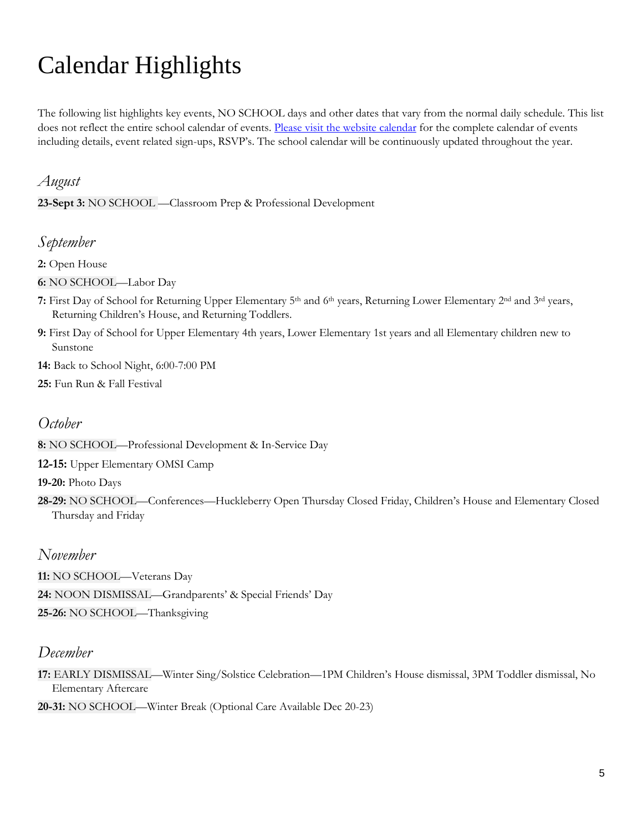# <span id="page-4-0"></span>Calendar Highlights

The following list highlights key events, NO SCHOOL days and other dates that vary from the normal daily schedule. This list does not reflect the entire school calendar of events. [Please visit the website calendar](https://sunstonemontessori.org/parents/sunstone-event/) for the complete calendar of events including details, event related sign-ups, RSVP's. The school calendar will be continuously updated throughout the year.

#### *August*

**23-Sept 3:** NO SCHOOL —Classroom Prep & Professional Development

#### *September*

**2:** Open House

**6:** NO SCHOOL—Labor Day

- **7:** First Day of School for Returning Upper Elementary 5th and 6th years, Returning Lower Elementary 2nd and 3rd years, Returning Children's House, and Returning Toddlers.
- **9:** First Day of School for Upper Elementary 4th years, Lower Elementary 1st years and all Elementary children new to Sunstone
- **14:** Back to School Night, 6:00-7:00 PM
- **25:** Fun Run & Fall Festival

#### *October*

**8:** NO SCHOOL—Professional Development & In-Service Day

**12-15:** Upper Elementary OMSI Camp

**19-20:** Photo Days

**28-29:** NO SCHOOL—Conferences—Huckleberry Open Thursday Closed Friday, Children's House and Elementary Closed Thursday and Friday

#### *November*

- **11:** NO SCHOOL—Veterans Day
- **24:** NOON DISMISSAL—Grandparents' & Special Friends' Day
- **25-26:** NO SCHOOL—Thanksgiving

#### *December*

**17:** EARLY DISMISSAL—Winter Sing/Solstice Celebration—1PM Children's House dismissal, 3PM Toddler dismissal, No Elementary Aftercare

**20-31:** NO SCHOOL—Winter Break (Optional Care Available Dec 20-23)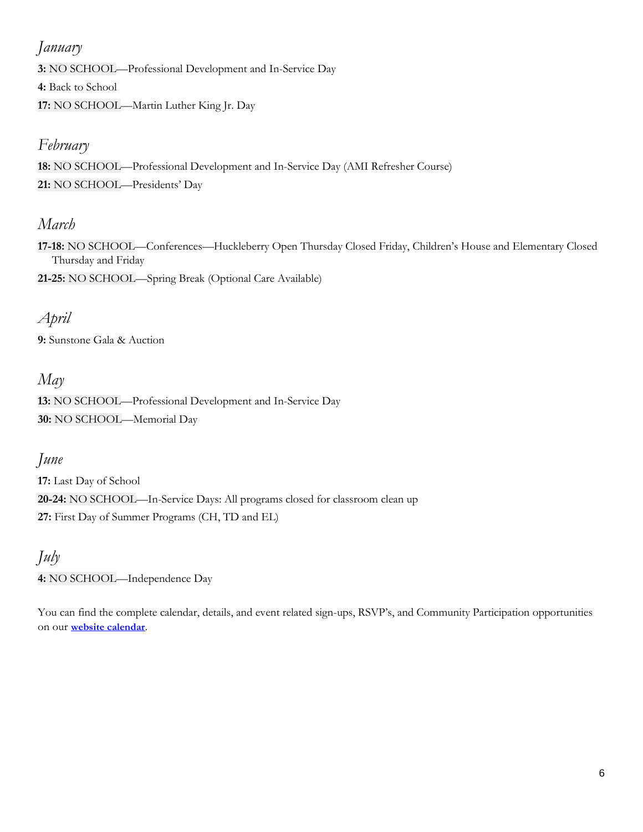#### *January*

**3:** NO SCHOOL—Professional Development and In-Service Day

**4:** Back to School

**17:** NO SCHOOL—Martin Luther King Jr. Day

### *February*

**18:** NO SCHOOL—Professional Development and In-Service Day (AMI Refresher Course) **21:** NO SCHOOL—Presidents' Day

### *March*

**17-18:** NO SCHOOL—Conferences—Huckleberry Open Thursday Closed Friday, Children's House and Elementary Closed Thursday and Friday

**21-25:** NO SCHOOL—Spring Break (Optional Care Available)

### *April*

**9:** Sunstone Gala & Auction

### *May*

**13:** NO SCHOOL—Professional Development and In-Service Day **30:** NO SCHOOL—Memorial Day

### *June*

**17:** Last Day of School **20-24:** NO SCHOOL—In-Service Days: All programs closed for classroom clean up **27:** First Day of Summer Programs (CH, TD and EL)

### *July*

**4:** NO SCHOOL—Independence Day

You can find the complete calendar, details, and event related sign-ups, RSVP's, and Community Participation opportunities on our **[website calendar](https://sunstonemontessori.org/parents/sunstone-event/)**.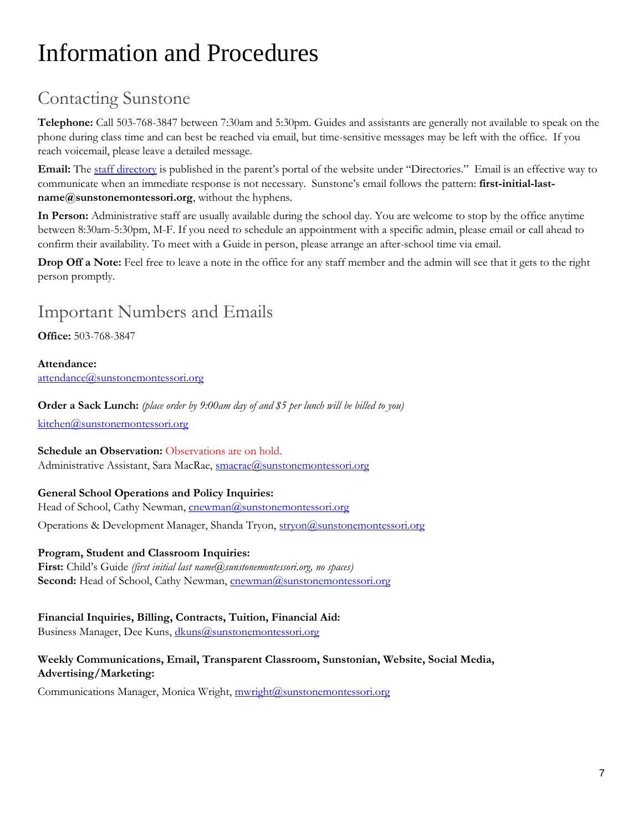# <span id="page-6-0"></span>Information and Procedures

# <span id="page-6-1"></span>Contacting Sunstone

**Telephone:** Call 503-768-3847 between 7:30am and 5:30pm. Guides and assistants are generally not available to speak on the phone during class time and can best be reached via email, but time-sensitive messages may be left with the office. If you reach voicemail, please leave a detailed message.

**Email:** The [staff](https://sunstonemontessori.org/11850-2/) directory is published in the parent's portal of the website under "Directories." Email is an effective way to communicate when an immediate response is not necessary. Sunstone's email follows the pattern: **first-initial-last[name@sunstonemontessori.org](mailto:name@sunstonemontessori.org)**, without the hyphens.

**In Person:** Administrative staff are usually available during the school day. You are welcome to stop by the office anytime between 8:30am-5:30pm, M-F. If you need to schedule an appointment with a specific admin, please email or call ahead to confirm their availability. To meet with a Guide in person, please arrange an after-school time via email.

**Drop Off a Note:** Feel free to leave a note in the office for any staff member and the admin will see that it gets to the right person promptly.

## <span id="page-6-2"></span>Important Numbers and Emails

**Office:** 503-768-3847

**Attendance:**  [attendance@sunstonemontessori.org](mailto:attendance@sunstonemontessori.org)

**Order a Sack Lunch:** *(place order by 9:00am day of and \$5 per lunch will be billed to you)*

[kitchen@sunstonemontessori.org](mailto:kitchen@sunstonemontessori.org)

#### **Schedule an Observation:** Observations are on hold.

Administrative Assistant, Sara MacRae, [smacrae@sunstonemontessori.org](mailto:smacrae@sunstonemontessori.org)

#### **General School Operations and Policy Inquiries:**

Head of School, Cathy Newman[, cnewman@sunstonemontessori.org](mailto:cnewman@sunstonemontessori.org) Operations & Development Manager, Shanda Tryon, stryon@sunstonemontessori.org

#### **Program, Student and Classroom Inquiries:**

**First:** Child's Guide *(first initial last [name@sunstonemontessori.org,](mailto:name@sunstonemontessori.org) no spaces)* **Second:** Head of School, Cathy Newman, **cnewman@sunstonemontessori.org** 

#### **Financial Inquiries, Billing, Contracts, Tuition, Financial Aid:**

Business Manager, Dee Kuns, [dkuns@sunstonemontessori.org](mailto:dkuns@sunstonemontessori.org)

#### **Weekly Communications, Email, Transparent Classroom, Sunstonian, Website, Social Media, Advertising/Marketing:**

Communications Manager, Monica Wright, [mwright@sunstonemontessori.org](mailto:mwright@sunstonemontessori.org)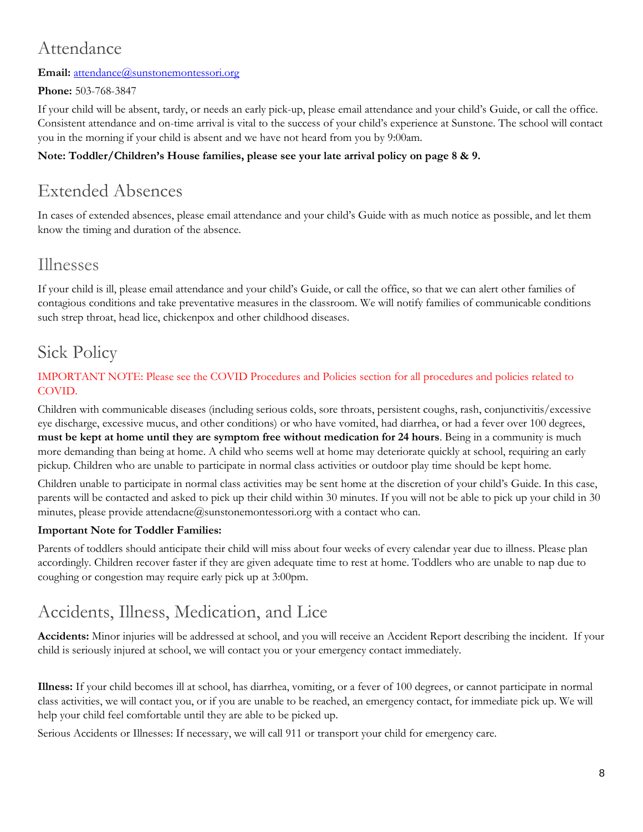# <span id="page-7-0"></span>Attendance

#### **Email:** [attendance@sunstonemontessori.org](mailto:attendance@sunstonemontessori.org)

#### **Phone:** 503-768-3847

If your child will be absent, tardy, or needs an early pick-up, please email attendance and your child's Guide, or call the office. Consistent attendance and on-time arrival is vital to the success of your child's experience at Sunstone. The school will contact you in the morning if your child is absent and we have not heard from you by 9:00am.

#### **Note: Toddler/Children's House families, please see your late arrival policy on page 8 & 9.**

# <span id="page-7-1"></span>Extended Absences

In cases of extended absences, please email attendance and your child's Guide with as much notice as possible, and let them know the timing and duration of the absence.

### Illnesses

If your child is ill, please email attendance and your child's Guide, or call the office, so that we can alert other families of contagious conditions and take preventative measures in the classroom. We will notify families of communicable conditions such strep throat, head lice, chickenpox and other childhood diseases.

# <span id="page-7-2"></span>Sick Policy

#### IMPORTANT NOTE: Please see the COVID Procedures and Policies section for all procedures and policies related to COVID.

Children with communicable diseases (including serious colds, sore throats, persistent coughs, rash, conjunctivitis/excessive eye discharge, excessive mucus, and other conditions) or who have vomited, had diarrhea, or had a fever over 100 degrees, **must be kept at home until they are symptom free without medication for 24 hours**. Being in a community is much more demanding than being at home. A child who seems well at home may deteriorate quickly at school, requiring an early pickup. Children who are unable to participate in normal class activities or outdoor play time should be kept home.

Children unable to participate in normal class activities may be sent home at the discretion of your child's Guide. In this case, parents will be contacted and asked to pick up their child within 30 minutes. If you will not be able to pick up your child in 30 minutes, please provide attendacne@sunstonemontessori.org with a contact who can.

#### **Important Note for Toddler Families:**

Parents of toddlers should anticipate their child will miss about four weeks of every calendar year due to illness. Please plan accordingly. Children recover faster if they are given adequate time to rest at home. Toddlers who are unable to nap due to coughing or congestion may require early pick up at 3:00pm.

# <span id="page-7-3"></span>Accidents, Illness, Medication, and Lice

**Accidents:** Minor injuries will be addressed at school, and you will receive an Accident Report describing the incident. If your child is seriously injured at school, we will contact you or your emergency contact immediately.

**Illness:** If your child becomes ill at school, has diarrhea, vomiting, or a fever of 100 degrees, or cannot participate in normal class activities, we will contact you, or if you are unable to be reached, an emergency contact, for immediate pick up. We will help your child feel comfortable until they are able to be picked up.

Serious Accidents or Illnesses: If necessary, we will call 911 or transport your child for emergency care.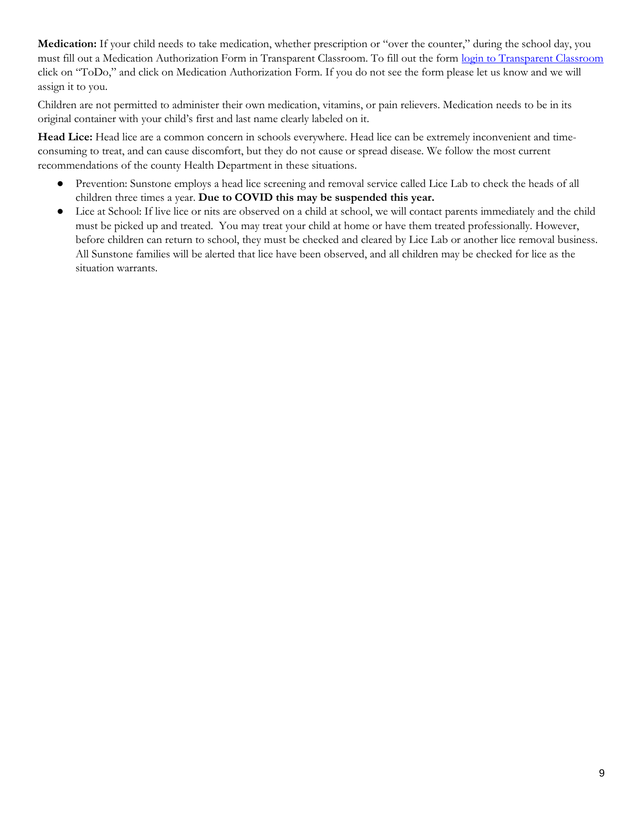**Medication:** If your child needs to take medication, whether prescription or "over the counter," during the school day, you must fill out a Medication Authorization Form in Transparent Classroom. To fill out the form [login to Transparent Classroom](https://www.transparentclassroom.com/souls/sign_in?locale=en) click on "ToDo," and click on Medication Authorization Form. If you do not see the form please let us know and we will assign it to you.

Children are not permitted to administer their own medication, vitamins, or pain relievers. Medication needs to be in its original container with your child's first and last name clearly labeled on it.

**Head Lice:** Head lice are a common concern in schools everywhere. Head lice can be extremely inconvenient and timeconsuming to treat, and can cause discomfort, but they do not cause or spread disease. We follow the most current recommendations of the county Health Department in these situations.

- Prevention: Sunstone employs a head lice screening and removal service called Lice Lab to check the heads of all children three times a year. **Due to COVID this may be suspended this year.**
- Lice at School: If live lice or nits are observed on a child at school, we will contact parents immediately and the child must be picked up and treated. You may treat your child at home or have them treated professionally. However, before children can return to school, they must be checked and cleared by Lice Lab or another lice removal business. All Sunstone families will be alerted that lice have been observed, and all children may be checked for lice as the situation warrants.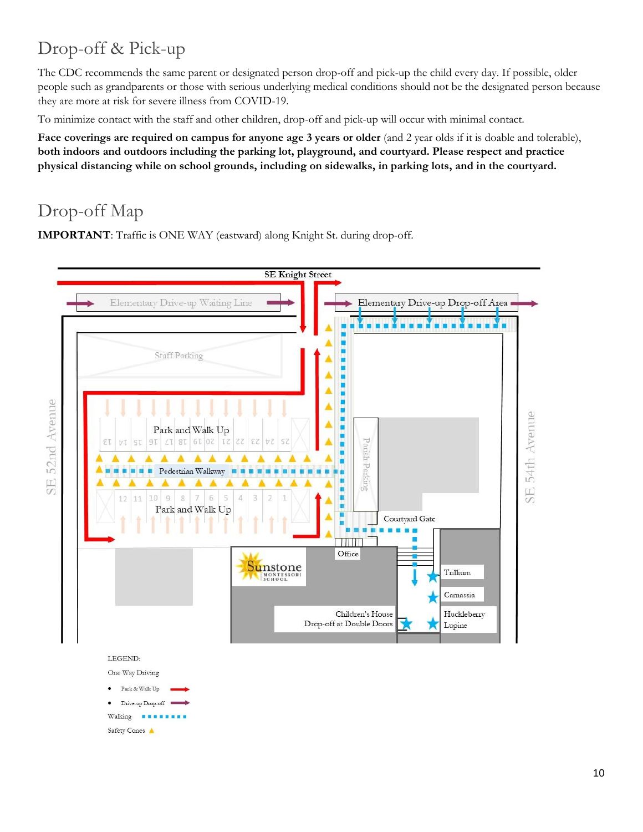# <span id="page-9-0"></span>Drop-off & Pick-up

The CDC recommends the same parent or designated person drop-off and pick-up the child every day. If possible, older people such as grandparents or those with serious underlying medical conditions should not be the designated person because they are more at risk for severe illness from COVID-19.

To minimize contact with the staff and other children, drop-off and pick-up will occur with minimal contact.

**Face coverings are required on campus for anyone age 3 years or older** (and 2 year olds if it is doable and tolerable), **both indoors and outdoors including the parking lot, playground, and courtyard. Please respect and practice physical distancing while on school grounds, including on sidewalks, in parking lots, and in the courtyard.**

# Drop-off Map

**IMPORTANT**: Traffic is ONE WAY (eastward) along Knight St. during drop-off.

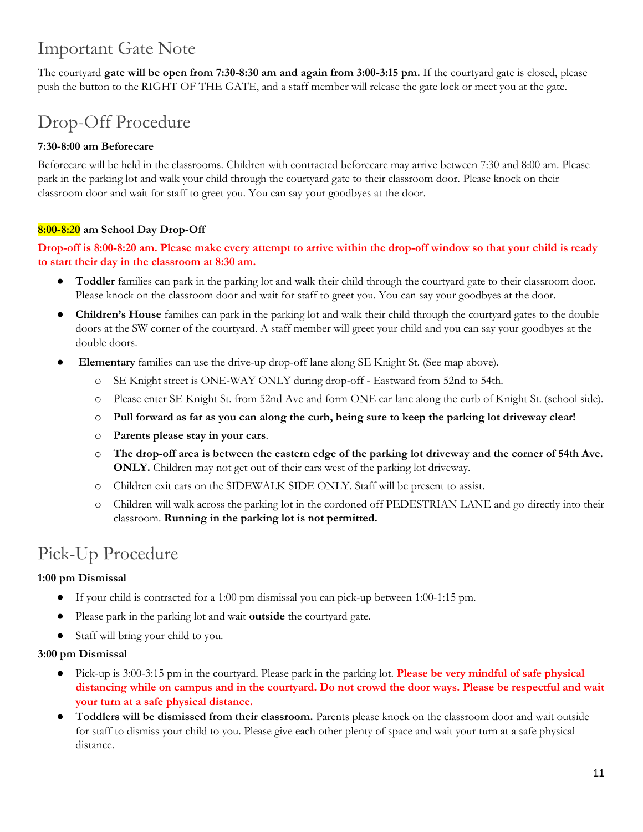# <span id="page-10-0"></span>Important Gate Note

The courtyard **gate will be open from 7:30-8:30 am and again from 3:00-3:15 pm.** If the courtyard gate is closed, please push the button to the RIGHT OF THE GATE, and a staff member will release the gate lock or meet you at the gate.

# <span id="page-10-1"></span>Drop-Off Procedure

#### **7:30-8:00 am Beforecare**

Beforecare will be held in the classrooms. Children with contracted beforecare may arrive between 7:30 and 8:00 am. Please park in the parking lot and walk your child through the courtyard gate to their classroom door. Please knock on their classroom door and wait for staff to greet you. You can say your goodbyes at the door.

#### **8:00-8:20 am School Day Drop-Off**

#### **Drop-off is 8:00-8:20 am. Please make every attempt to arrive within the drop-off window so that your child is ready to start their day in the classroom at 8:30 am.**

- **Toddler** families can park in the parking lot and walk their child through the courtyard gate to their classroom door. Please knock on the classroom door and wait for staff to greet you. You can say your goodbyes at the door.
- **Children's House** families can park in the parking lot and walk their child through the courtyard gates to the double doors at the SW corner of the courtyard. A staff member will greet your child and you can say your goodbyes at the double doors.
- **Elementary** families can use the drive-up drop-off lane along SE Knight St. (See map above).
	- o SE Knight street is ONE-WAY ONLY during drop-off Eastward from 52nd to 54th.
	- o Please enter SE Knight St. from 52nd Ave and form ONE car lane along the curb of Knight St. (school side).
	- o **Pull forward as far as you can along the curb, being sure to keep the parking lot driveway clear!**
	- o **Parents please stay in your cars**.
	- o **The drop-off area is between the eastern edge of the parking lot driveway and the corner of 54th Ave. ONLY.** Children may not get out of their cars west of the parking lot driveway.
	- o Children exit cars on the SIDEWALK SIDE ONLY. Staff will be present to assist.
	- o Children will walk across the parking lot in the cordoned off PEDESTRIAN LANE and go directly into their classroom. **Running in the parking lot is not permitted.**

## <span id="page-10-2"></span>Pick-Up Procedure

#### **1:00 pm Dismissal**

- If your child is contracted for a 1:00 pm dismissal you can pick-up between 1:00-1:15 pm.
- Please park in the parking lot and wait **outside** the courtyard gate.
- Staff will bring your child to you.

#### **3:00 pm Dismissal**

- Pick-up is 3:00-3:15 pm in the courtyard. Please park in the parking lot. **Please be very mindful of safe physical distancing while on campus and in the courtyard. Do not crowd the door ways. Please be respectful and wait your turn at a safe physical distance.**
- **Toddlers will be dismissed from their classroom.** Parents please knock on the classroom door and wait outside for staff to dismiss your child to you. Please give each other plenty of space and wait your turn at a safe physical distance.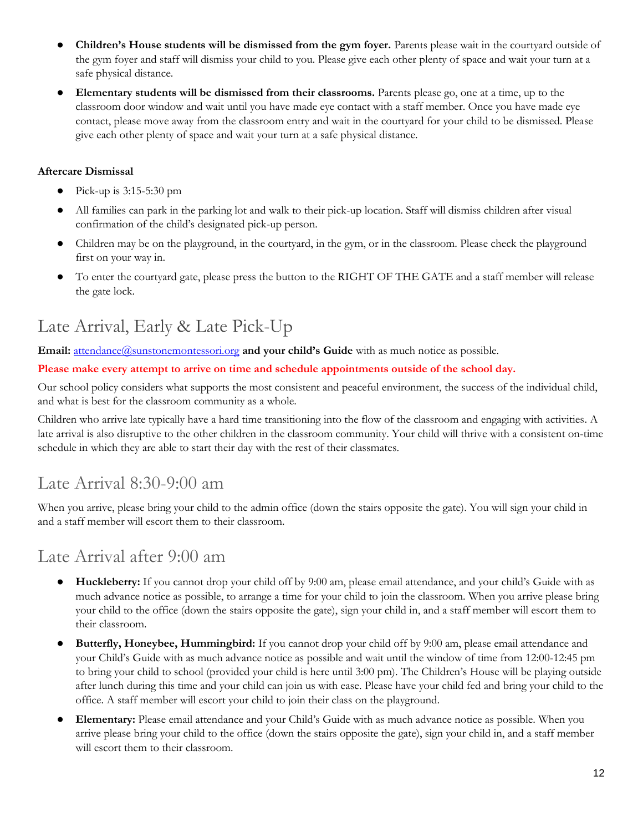- **Children's House students will be dismissed from the gym foyer.** Parents please wait in the courtyard outside of the gym foyer and staff will dismiss your child to you. Please give each other plenty of space and wait your turn at a safe physical distance.
- **Elementary students will be dismissed from their classrooms.** Parents please go, one at a time, up to the classroom door window and wait until you have made eye contact with a staff member. Once you have made eye contact, please move away from the classroom entry and wait in the courtyard for your child to be dismissed. Please give each other plenty of space and wait your turn at a safe physical distance.

#### **Aftercare Dismissal**

- Pick-up is  $3:15-5:30$  pm
- All families can park in the parking lot and walk to their pick-up location. Staff will dismiss children after visual confirmation of the child's designated pick-up person.
- Children may be on the playground, in the courtyard, in the gym, or in the classroom. Please check the playground first on your way in.
- To enter the courtyard gate, please press the button to the RIGHT OF THE GATE and a staff member will release the gate lock.

## <span id="page-11-0"></span>Late Arrival, Early & Late Pick-Up

**Email:** [attendance@sunstonemontessori.org](mailto:attendance@sunstonemontessori.org) and your child's Guide with as much notice as possible.

**Please make every attempt to arrive on time and schedule appointments outside of the school day.**

Our school policy considers what supports the most consistent and peaceful environment, the success of the individual child, and what is best for the classroom community as a whole.

Children who arrive late typically have a hard time transitioning into the flow of the classroom and engaging with activities. A late arrival is also disruptive to the other children in the classroom community. Your child will thrive with a consistent on-time schedule in which they are able to start their day with the rest of their classmates.

### Late Arrival 8:30-9:00 am

When you arrive, please bring your child to the admin office (down the stairs opposite the gate). You will sign your child in and a staff member will escort them to their classroom.

### Late Arrival after 9:00 am

- **Huckleberry:** If you cannot drop your child off by 9:00 am, please email attendance, and your child's Guide with as much advance notice as possible, to arrange a time for your child to join the classroom. When you arrive please bring your child to the office (down the stairs opposite the gate), sign your child in, and a staff member will escort them to their classroom.
- **Butterfly, Honeybee, Hummingbird:** If you cannot drop your child off by 9:00 am, please email attendance and your Child's Guide with as much advance notice as possible and wait until the window of time from 12:00-12:45 pm to bring your child to school (provided your child is here until 3:00 pm). The Children's House will be playing outside after lunch during this time and your child can join us with ease. Please have your child fed and bring your child to the office. A staff member will escort your child to join their class on the playground.
- **Elementary:** Please email attendance and your Child's Guide with as much advance notice as possible. When you arrive please bring your child to the office (down the stairs opposite the gate), sign your child in, and a staff member will escort them to their classroom.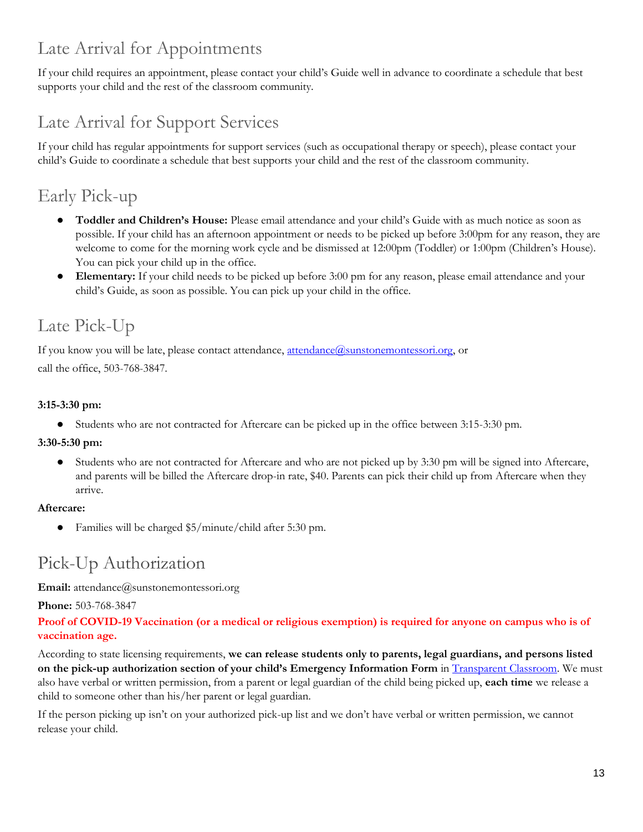# Late Arrival for Appointments

If your child requires an appointment, please contact your child's Guide well in advance to coordinate a schedule that best supports your child and the rest of the classroom community.

# Late Arrival for Support Services

If your child has regular appointments for support services (such as occupational therapy or speech), please contact your child's Guide to coordinate a schedule that best supports your child and the rest of the classroom community.

# Early Pick-up

- **Toddler and Children's House:** Please email attendance and your child's Guide with as much notice as soon as possible. If your child has an afternoon appointment or needs to be picked up before 3:00pm for any reason, they are welcome to come for the morning work cycle and be dismissed at 12:00pm (Toddler) or 1:00pm (Children's House). You can pick your child up in the office.
- **Elementary:** If your child needs to be picked up before 3:00 pm for any reason, please email attendance and your child's Guide, as soon as possible. You can pick up your child in the office.

# Late Pick-Up

If you know you will be late, please contact attendance,  $\frac{$ ttendance $\alpha$ sunstonemontessori.org, or call the office, 503-768-3847.

#### **3:15-3:30 pm:**

● Students who are not contracted for Aftercare can be picked up in the office between 3:15-3:30 pm.

#### **3:30-5:30 pm:**

● Students who are not contracted for Aftercare and who are not picked up by 3:30 pm will be signed into Aftercare, and parents will be billed the Aftercare drop-in rate, \$40. Parents can pick their child up from Aftercare when they arrive.

#### **Aftercare:**

● Families will be charged \$5/minute/child after 5:30 pm.

# <span id="page-12-0"></span>Pick-Up Authorization

**Email:** [attendance@sunstonemontessori.org](mailto:attendance@sunstonemontessori.org)

**Phone:** 503-768-3847

#### **Proof of COVID-19 Vaccination (or a medical or religious exemption) is required for anyone on campus who is of vaccination age.**

According to state licensing requirements, **we can release students only to parents, legal guardians, and persons listed on the pick-up authorization section of your child's Emergency Information Form** in [Transparent Classroom.](https://www.transparentclassroom.com/souls/sign_in?locale=en) We must also have verbal or written permission, from a parent or legal guardian of the child being picked up, **each time** we release a child to someone other than his/her parent or legal guardian.

If the person picking up isn't on your authorized pick-up list and we don't have verbal or written permission, we cannot release your child.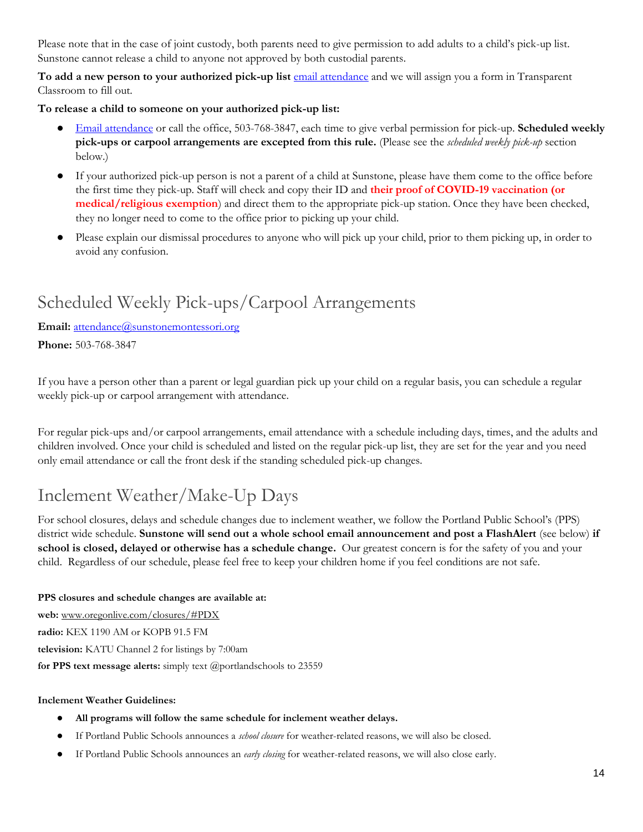Please note that in the case of joint custody, both parents need to give permission to add adults to a child's pick-up list. Sunstone cannot release a child to anyone not approved by both custodial parents.

**To add a new person to your authorized pick-up list** [email attendance](mailto:attendance@sunstonemontessori.org) and we will assign you a form in Transparent Classroom to fill out.

**To release a child to someone on your authorized pick-up list:**

- [Email attendance](mailto:attendance@sunstonemontessori.org) or call the office, 503-768-3847, each time to give verbal permission for pick-up. **Scheduled weekly pick-ups or carpool arrangements are excepted from this rule.** (Please see the *scheduled weekly pick-up* section below.)
- If your authorized pick-up person is not a parent of a child at Sunstone, please have them come to the office before the first time they pick-up. Staff will check and copy their ID and **their proof of COVID-19 vaccination (or medical/religious exemption**) and direct them to the appropriate pick-up station. Once they have been checked, they no longer need to come to the office prior to picking up your child.
- Please explain our dismissal procedures to anyone who will pick up your child, prior to them picking up, in order to avoid any confusion.

# <span id="page-13-0"></span>Scheduled Weekly Pick-ups/Carpool Arrangements

#### **Email:** [attendance@sunstonemontessori.org](mailto:attendance@sunstonemontessori.org)

**Phone:** 503-768-3847

If you have a person other than a parent or legal guardian pick up your child on a regular basis, you can schedule a regular weekly pick-up or carpool arrangement with attendance.

For regular pick-ups and/or carpool arrangements, email attendance with a schedule including days, times, and the adults and children involved. Once your child is scheduled and listed on the regular pick-up list, they are set for the year and you need only email attendance or call the front desk if the standing scheduled pick-up changes.

# <span id="page-13-1"></span>Inclement Weather/Make-Up Days

For school closures, delays and schedule changes due to inclement weather, we follow the Portland Public School's (PPS) district wide schedule. **Sunstone will send out a whole school email announcement and post a FlashAlert** (see below) **if school is closed, delayed or otherwise has a schedule change.** Our greatest concern is for the safety of you and your child. Regardless of our schedule, please feel free to keep your children home if you feel conditions are not safe.

#### **PPS closures and schedule changes are available at:**

**web:** www.oregonlive.com/closures/#PDX **radio:** KEX 1190 AM or KOPB 91.5 FM **television:** KATU Channel 2 for listings by 7:00am **for PPS text message alerts:** simply text @portlandschools to 23559

#### **Inclement Weather Guidelines:**

- **All programs will follow the same schedule for inclement weather delays.**
- If Portland Public Schools announces a *school closure* for weather-related reasons, we will also be closed.
- If Portland Public Schools announces an *early closing* for weather-related reasons, we will also close early.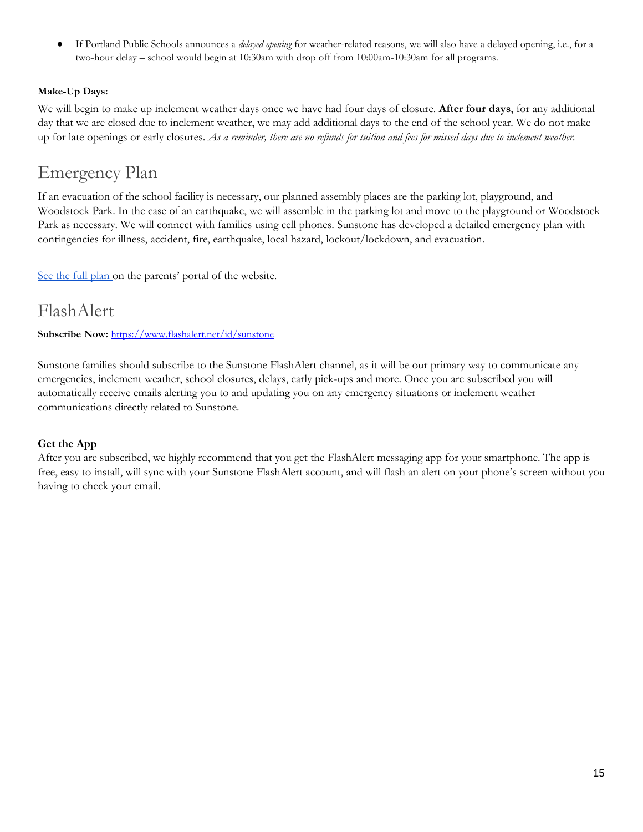If Portland Public Schools announces a *delayed opening* for weather-related reasons, we will also have a delayed opening, i.e., for a two-hour delay – school would begin at 10:30am with drop off from 10:00am-10:30am for all programs.

#### **Make-Up Days:**

We will begin to make up inclement weather days once we have had four days of closure. **After four days**, for any additional day that we are closed due to inclement weather, we may add additional days to the end of the school year. We do not make up for late openings or early closures. *As a reminder, there are no refunds for tuition and fees for missed days due to inclement weather.*

### <span id="page-14-0"></span>Emergency Plan

If an evacuation of the school facility is necessary, our planned assembly places are the parking lot, playground, and Woodstock Park. In the case of an earthquake, we will assemble in the parking lot and move to the playground or Woodstock Park as necessary. We will connect with families using cell phones. Sunstone has developed a detailed emergency plan with contingencies for illness, accident, fire, earthquake, local hazard, lockout/lockdown, and evacuation.

[See the full plan](https://sunstonemontessori.org/parents/sunstone-handbook/flashalert-emergency-plan/) on the parents' portal of the website.

### <span id="page-14-1"></span>FlashAlert

**Subscribe Now:** <https://www.flashalert.net/id/sunstone>

Sunstone families should subscribe to the Sunstone FlashAlert channel, as it will be our primary way to communicate any emergencies, inclement weather, school closures, delays, early pick-ups and more. Once you are subscribed you will automatically receive emails alerting you to and updating you on any emergency situations or inclement weather communications directly related to Sunstone.

#### **Get the App**

After you are subscribed, we highly recommend that you get the FlashAlert messaging app for your smartphone. The app is free, easy to install, will sync with your Sunstone FlashAlert account, and will flash an alert on your phone's screen without you having to check your email.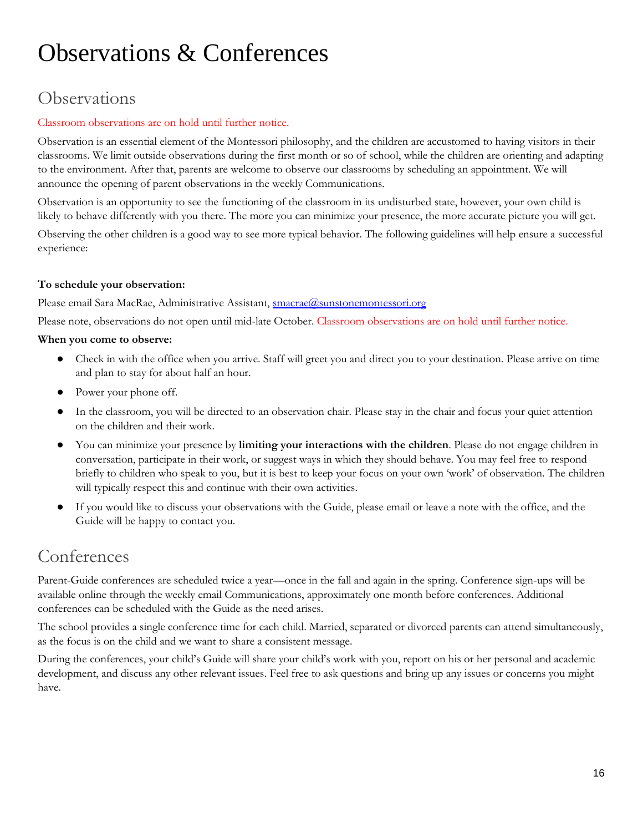# <span id="page-15-0"></span>Observations & Conferences

# <span id="page-15-1"></span>**Observations**

#### Classroom observations are on hold until further notice.

Observation is an essential element of the Montessori philosophy, and the children are accustomed to having visitors in their classrooms. We limit outside observations during the first month or so of school, while the children are orienting and adapting to the environment. After that, parents are welcome to observe our classrooms by scheduling an appointment. We will announce the opening of parent observations in the weekly Communications.

Observation is an opportunity to see the functioning of the classroom in its undisturbed state, however, your own child is likely to behave differently with you there. The more you can minimize your presence, the more accurate picture you will get.

Observing the other children is a good way to see more typical behavior. The following guidelines will help ensure a successful experience:

#### **To schedule your observation:**

Please email Sara MacRae, Administrative Assistant, [smacrae@sunstonemontessori.org](mailto:smacrae@sunstonemontessori.org)

Please note, observations do not open until mid-late October. Classroom observations are on hold until further notice.

#### **When you come to observe:**

- Check in with the office when you arrive. Staff will greet you and direct you to your destination. Please arrive on time and plan to stay for about half an hour.
- Power your phone off.
- In the classroom, you will be directed to an observation chair. Please stay in the chair and focus your quiet attention on the children and their work.
- You can minimize your presence by **limiting your interactions with the children**. Please do not engage children in conversation, participate in their work, or suggest ways in which they should behave. You may feel free to respond briefly to children who speak to you, but it is best to keep your focus on your own 'work' of observation. The children will typically respect this and continue with their own activities.
- If you would like to discuss your observations with the Guide, please email or leave a note with the office, and the Guide will be happy to contact you.

### <span id="page-15-2"></span>Conferences

Parent-Guide conferences are scheduled twice a year—once in the fall and again in the spring. Conference sign-ups will be available online through the weekly email Communications, approximately one month before conferences. Additional conferences can be scheduled with the Guide as the need arises.

The school provides a single conference time for each child. Married, separated or divorced parents can attend simultaneously, as the focus is on the child and we want to share a consistent message.

During the conferences, your child's Guide will share your child's work with you, report on his or her personal and academic development, and discuss any other relevant issues. Feel free to ask questions and bring up any issues or concerns you might have.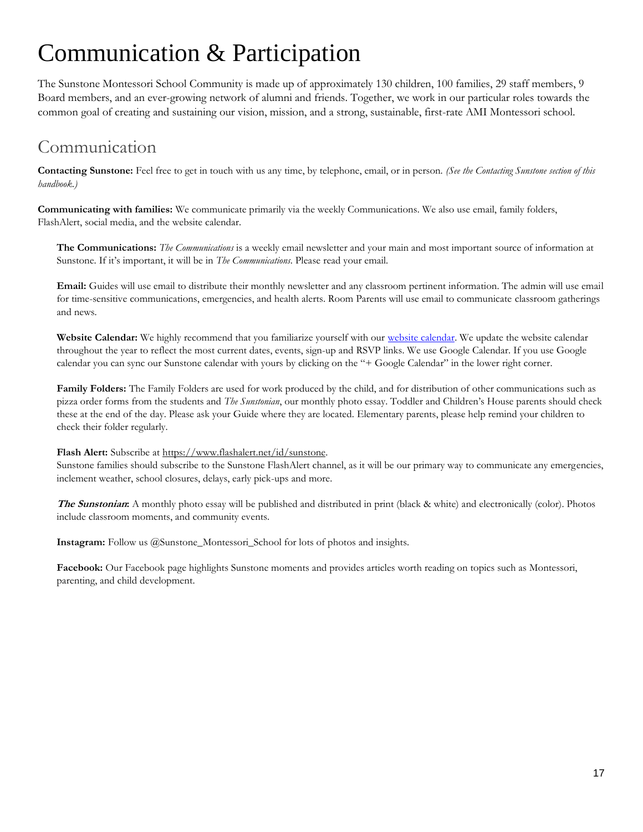# <span id="page-16-0"></span>Communication & Participation

The Sunstone Montessori School Community is made up of approximately 130 children, 100 families, 29 staff members, 9 Board members, and an ever-growing network of alumni and friends. Together, we work in our particular roles towards the common goal of creating and sustaining our vision, mission, and a strong, sustainable, first-rate AMI Montessori school.

## <span id="page-16-1"></span>Communication

**Contacting Sunstone:** Feel free to get in touch with us any time, by telephone, email, or in person. *(See the Contacting Sunstone section of this handbook.)*

**Communicating with families:** We communicate primarily via the weekly Communications. We also use email, family folders, FlashAlert, social media, and the website calendar.

**The Communications:** *The Communications* is a weekly email newsletter and your main and most important source of information at Sunstone. If it's important, it will be in *The Communications*. Please read your email.

**Email:** Guides will use email to distribute their monthly newsletter and any classroom pertinent information. The admin will use email for time-sensitive communications, emergencies, and health alerts. Room Parents will use email to communicate classroom gatherings and news.

**Website Calendar:** We highly recommend that you familiarize yourself with our [website calendar.](https://sunstonemontessori.org/parents/sunstone-event/) We update the website calendar throughout the year to reflect the most current dates, events, sign-up and RSVP links. We use Google Calendar. If you use Google calendar you can sync our Sunstone calendar with yours by clicking on the "+ Google Calendar" in the lower right corner.

**Family Folders:** The Family Folders are used for work produced by the child, and for distribution of other communications such as pizza order forms from the students and *The Sunstonian*, our monthly photo essay. Toddler and Children's House parents should check these at the end of the day. Please ask your Guide where they are located. Elementary parents, please help remind your children to check their folder regularly.

#### Flash Alert: Subscribe a[t https://www.flashalert.net/id/sunstone.](https://www.flashalert.net/id/sunstone)

Sunstone families should subscribe to the Sunstone FlashAlert channel, as it will be our primary way to communicate any emergencies, inclement weather, school closures, delays, early pick-ups and more.

**The Sunstonian:** A monthly photo essay will be published and distributed in print (black & white) and electronically (color). Photos include classroom moments, and community events.

**Instagram:** Follow us @Sunstone\_Montessori\_School for lots of photos and insights.

**Facebook:** Our Facebook page highlights Sunstone moments and provides articles worth reading on topics such as Montessori, parenting, and child development.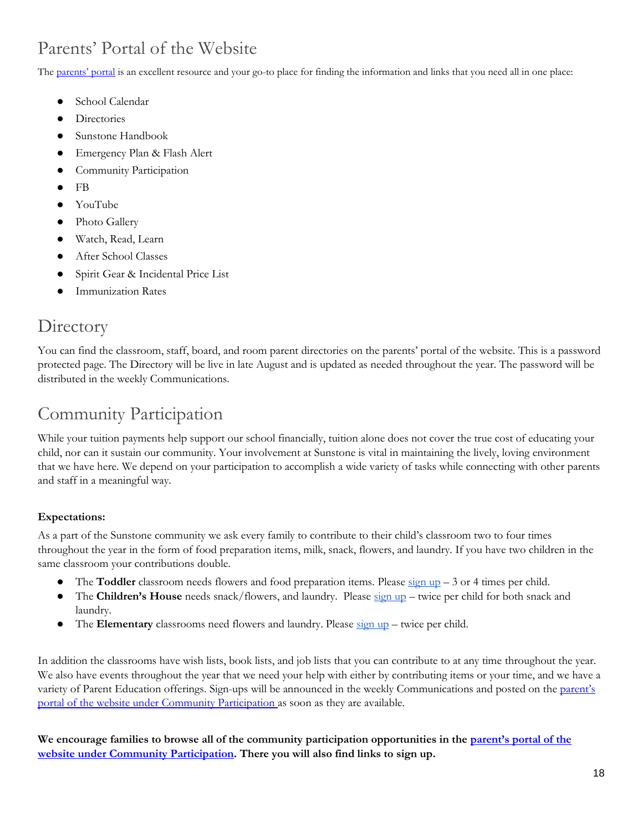# <span id="page-17-0"></span>Parents' Portal of the Website

The [parents' port](https://sunstonemontessori.org/parents/)al is an excellent resource and your go-to place for finding the information and links that you need all in one place:

- School Calendar
- Directories
- Sunstone Handbook
- Emergency Plan & Flash Alert
- Community Participation
- FB
- YouTube
- Photo Gallery
- Watch, Read, Learn
- After School Classes
- Spirit Gear & Incidental Price List
- **Immunization Rates**

### <span id="page-17-1"></span>**Directory**

You can find the classroom, staff, board, and room parent directories on the parents' portal of the website. This is a password protected page. The Directory will be live in late August and is updated as needed throughout the year. The password will be distributed in the weekly Communications.

### <span id="page-17-2"></span>Community Participation

While your tuition payments help support our school financially, tuition alone does not cover the true cost of educating your child, nor can it sustain our community. Your involvement at Sunstone is vital in maintaining the lively, loving environment that we have here. We depend on your participation to accomplish a wide variety of tasks while connecting with other parents and staff in a meaningful way.

#### **Expectations:**

As a part of the Sunstone community we ask every family to contribute to their child's classroom two to four times throughout the year in the form of food preparation items, milk, snack, flowers, and laundry. If you have two children in the same classroom your contributions double.

- The **Toddler** classroom needs flowers and food preparation items. Please  $\frac{\text{sign up}}{n} 3$  or 4 times per child.
- The **Children's House** needs snack/flowers, and laundry. Please [sign up](https://sunstonemontessori.org/parents/community_participation/) twice per child for both snack and laundry.
- The **Elementary** classrooms need flowers and laundry. Please [sign up](https://sunstonemontessori.org/parents/community_participation/) twice per child.

In addition the classrooms have wish lists, book lists, and job lists that you can contribute to at any time throughout the year. We also have events throughout the year that we need your help with either by contributing items or your time, and we have a variety of Parent Education offerings. Sign-ups will be announced in the weekly Communications and posted on the parent's [portal of the website under Community Participation](https://sunstonemontessori.org/parents/community_participation/) as soon as they are available.

We encourage families to browse all of the community participation opportunities in the **parent's** portal of the **[website under Community Participation.](https://sunstonemontessori.org/parents/community_participation/) There you will also find links to sign up.**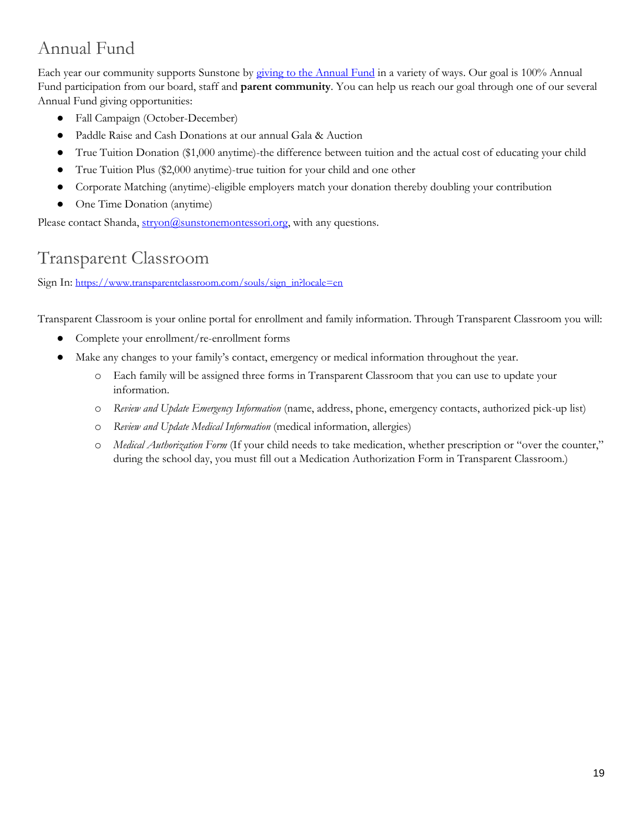# <span id="page-18-0"></span>Annual Fund

Each year our community supports Sunstone by [giving to the Annual Fund](https://sunstonemontessori.org/supportsunstone/giving-opportunities/) in a variety of ways. Our goal is 100% Annual Fund participation from our board, staff and **parent community**. You can help us reach our goal through one of our several Annual Fund giving opportunities:

- Fall Campaign (October-December)
- Paddle Raise and Cash Donations at our annual Gala & Auction
- True Tuition Donation (\$1,000 anytime)-the difference between tuition and the actual cost of educating your child
- True Tuition Plus (\$2,000 anytime)-true tuition for your child and one other
- Corporate Matching (anytime)-eligible employers match your donation thereby doubling your contribution
- One Time Donation (anytime)

Please contact Shanda,  $\frac{stryon@sumtonemontessori.org}{str, with any questions.}$ 

# <span id="page-18-1"></span>Transparent Classroom

Sign In: [https://www.transparentclassroom.com/souls/sign\\_in?locale=en](https://www.transparentclassroom.com/souls/sign_in?locale=en)

Transparent Classroom is your online portal for enrollment and family information. Through Transparent Classroom you will:

- Complete your enrollment/re-enrollment forms
- Make any changes to your family's contact, emergency or medical information throughout the year.
	- o Each family will be assigned three forms in Transparent Classroom that you can use to update your information.
	- o *Review and Update Emergency Information* (name, address, phone, emergency contacts, authorized pick-up list)
	- o *Review and Update Medical Information* (medical information, allergies)
	- o *Medical Authorization Form* (If your child needs to take medication, whether prescription or "over the counter," during the school day, you must fill out a Medication Authorization Form in Transparent Classroom.)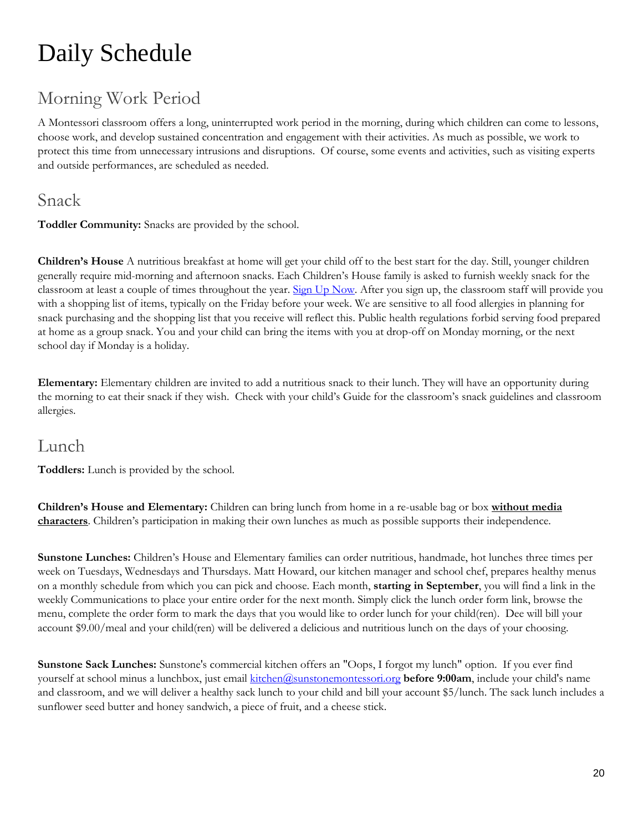# <span id="page-19-0"></span>Daily Schedule

# <span id="page-19-1"></span>Morning Work Period

A Montessori classroom offers a long, uninterrupted work period in the morning, during which children can come to lessons, choose work, and develop sustained concentration and engagement with their activities. As much as possible, we work to protect this time from unnecessary intrusions and disruptions. Of course, some events and activities, such as visiting experts and outside performances, are scheduled as needed.

### <span id="page-19-2"></span>Snack

**Toddler Community:** Snacks are provided by the school.

**Children's House** A nutritious breakfast at home will get your child off to the best start for the day. Still, younger children generally require mid-morning and afternoon snacks. Each Children's House family is asked to furnish weekly snack for the classroom at least a couple of times throughout the year. [Sign Up Now.](https://www.signupgenius.com/tabs/23670d703afc3efc24-classroom1) After you sign up, the classroom staff will provide you with a shopping list of items, typically on the Friday before your week. We are sensitive to all food allergies in planning for snack purchasing and the shopping list that you receive will reflect this. Public health regulations forbid serving food prepared at home as a group snack. You and your child can bring the items with you at drop-off on Monday morning, or the next school day if Monday is a holiday.

**Elementary:** Elementary children are invited to add a nutritious snack to their lunch. They will have an opportunity during the morning to eat their snack if they wish. Check with your child's Guide for the classroom's snack guidelines and classroom allergies.

### <span id="page-19-3"></span>Lunch

**Toddlers:** Lunch is provided by the school.

**Children's House and Elementary:** Children can bring lunch from home in a re-usable bag or box **without media characters**. Children's participation in making their own lunches as much as possible supports their independence.

**Sunstone Lunches:** Children's House and Elementary families can order nutritious, handmade, hot lunches three times per week on Tuesdays, Wednesdays and Thursdays. Matt Howard, our kitchen manager and school chef, prepares healthy menus on a monthly schedule from which you can pick and choose. Each month, **starting in September**, you will find a link in the weekly Communications to place your entire order for the next month. Simply click the lunch order form link, browse the menu, complete the order form to mark the days that you would like to order lunch for your child(ren). Dee will bill your account \$9.00/meal and your child(ren) will be delivered a delicious and nutritious lunch on the days of your choosing.

**Sunstone Sack Lunches:** Sunstone's commercial kitchen offers an "Oops, I forgot my lunch" option. If you ever find yourself at school minus a lunchbox, just email [kitchen@sunstonemontessori.org](mailto:kitchen@sunstonemontessori.org) **before 9:00am**, include your child's name and classroom, and we will deliver a healthy sack lunch to your child and bill your account \$5/lunch. The sack lunch includes a sunflower seed butter and honey sandwich, a piece of fruit, and a cheese stick.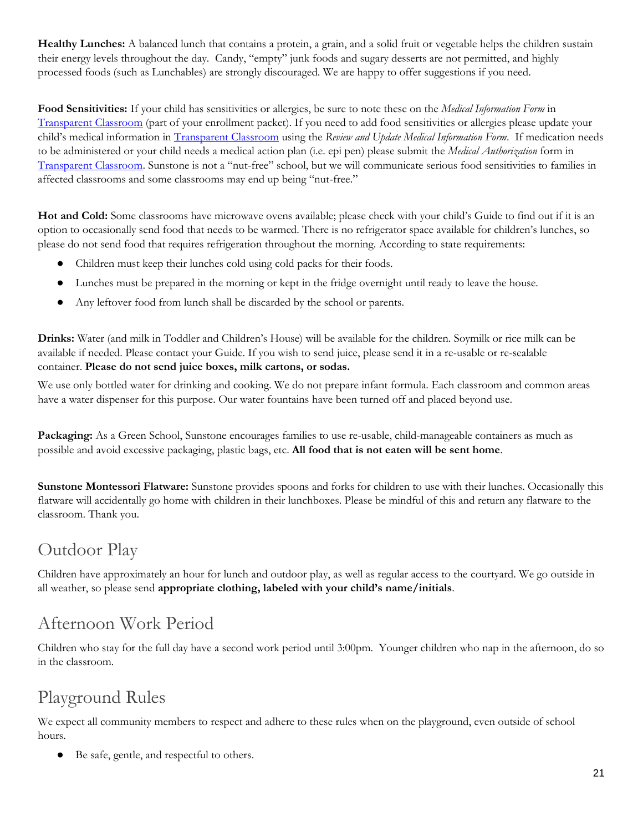**Healthy Lunches:** A balanced lunch that contains a protein, a grain, and a solid fruit or vegetable helps the children sustain their energy levels throughout the day. Candy, "empty" junk foods and sugary desserts are not permitted, and highly processed foods (such as Lunchables) are strongly discouraged. We are happy to offer suggestions if you need.

**Food Sensitivities:** If your child has sensitivities or allergies, be sure to note these on the *Medical Information Form* in [Transparent Classroom](https://www.transparentclassroom.com/souls/sign_in?locale=en) (part of your enrollment packet). If you need to add food sensitivities or allergies please update your child's medical information in [Transparent Classroom](https://www.transparentclassroom.com/souls/sign_in?locale=en) using the *Review and Update Medical Information Form*. If medication needs to be administered or your child needs a medical action plan (i.e. epi pen) please submit the *Medical Authorization* form in [Transparent Classroom](https://www.transparentclassroom.com/souls/sign_in?locale=en). Sunstone is not a "nut-free" school, but we will communicate serious food sensitivities to families in affected classrooms and some classrooms may end up being "nut-free."

**Hot and Cold:** Some classrooms have microwave ovens available; please check with your child's Guide to find out if it is an option to occasionally send food that needs to be warmed. There is no refrigerator space available for children's lunches, so please do not send food that requires refrigeration throughout the morning. According to state requirements:

- Children must keep their lunches cold using cold packs for their foods.
- Lunches must be prepared in the morning or kept in the fridge overnight until ready to leave the house.
- Any leftover food from lunch shall be discarded by the school or parents.

**Drinks:** Water (and milk in Toddler and Children's House) will be available for the children. Soymilk or rice milk can be available if needed. Please contact your Guide. If you wish to send juice, please send it in a re-usable or re-sealable container. **Please do not send juice boxes, milk cartons, or sodas.**

We use only bottled water for drinking and cooking. We do not prepare infant formula. Each classroom and common areas have a water dispenser for this purpose. Our water fountains have been turned off and placed beyond use.

**Packaging:** As a Green School, Sunstone encourages families to use re-usable, child-manageable containers as much as possible and avoid excessive packaging, plastic bags, etc. **All food that is not eaten will be sent home**.

**Sunstone Montessori Flatware:** Sunstone provides spoons and forks for children to use with their lunches. Occasionally this flatware will accidentally go home with children in their lunchboxes. Please be mindful of this and return any flatware to the classroom. Thank you.

### <span id="page-20-0"></span>Outdoor Play

Children have approximately an hour for lunch and outdoor play, as well as regular access to the courtyard. We go outside in all weather, so please send **appropriate clothing, labeled with your child's name/initials**.

## <span id="page-20-1"></span>Afternoon Work Period

Children who stay for the full day have a second work period until 3:00pm. Younger children who nap in the afternoon, do so in the classroom.

### <span id="page-20-2"></span>Playground Rules

We expect all community members to respect and adhere to these rules when on the playground, even outside of school hours.

Be safe, gentle, and respectful to others.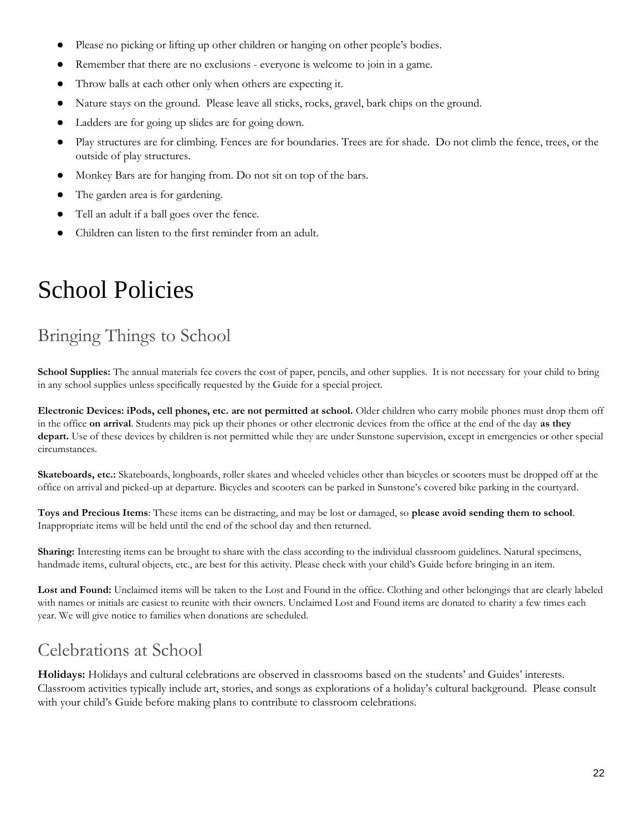- Please no picking or lifting up other children or hanging on other people's bodies.
- Remember that there are no exclusions everyone is welcome to join in a game.
- Throw balls at each other only when others are expecting it.
- Nature stays on the ground. Please leave all sticks, rocks, gravel, bark chips on the ground.
- Ladders are for going up slides are for going down.
- Play structures are for climbing. Fences are for boundaries. Trees are for shade. Do not climb the fence, trees, or the outside of play structures.
- Monkey Bars are for hanging from. Do not sit on top of the bars.
- The garden area is for gardening.
- Tell an adult if a ball goes over the fence.
- Children can listen to the first reminder from an adult.

# <span id="page-21-0"></span>School Policies

# <span id="page-21-1"></span>Bringing Things to School

School Supplies: The annual materials fee covers the cost of paper, pencils, and other supplies. It is not necessary for your child to bring in any school supplies unless specifically requested by the Guide for a special project.

**Electronic Devices: iPods, cell phones, etc. are not permitted at school.** Older children who carry mobile phones must drop them off in the office **on arrival**. Students may pick up their phones or other electronic devices from the office at the end of the day **as they depart.** Use of these devices by children is not permitted while they are under Sunstone supervision, except in emergencies or other special circumstances.

**Skateboards, etc.:** Skateboards, longboards, roller skates and wheeled vehicles other than bicycles or scooters must be dropped off at the office on arrival and picked-up at departure. Bicycles and scooters can be parked in Sunstone's covered bike parking in the courtyard.

**Toys and Precious Items**: These items can be distracting, and may be lost or damaged, so **please avoid sending them to school**. Inappropriate items will be held until the end of the school day and then returned.

**Sharing:** Interesting items can be brought to share with the class according to the individual classroom guidelines. Natural specimens, handmade items, cultural objects, etc., are best for this activity. Please check with your child's Guide before bringing in an item.

Lost and Found: Unclaimed items will be taken to the Lost and Found in the office. Clothing and other belongings that are clearly labeled with names or initials are easiest to reunite with their owners. Unclaimed Lost and Found items are donated to charity a few times each year. We will give notice to families when donations are scheduled.

## <span id="page-21-2"></span>Celebrations at School

**Holidays:** Holidays and cultural celebrations are observed in classrooms based on the students' and Guides' interests. Classroom activities typically include art, stories, and songs as explorations of a holiday's cultural background. Please consult with your child's Guide before making plans to contribute to classroom celebrations.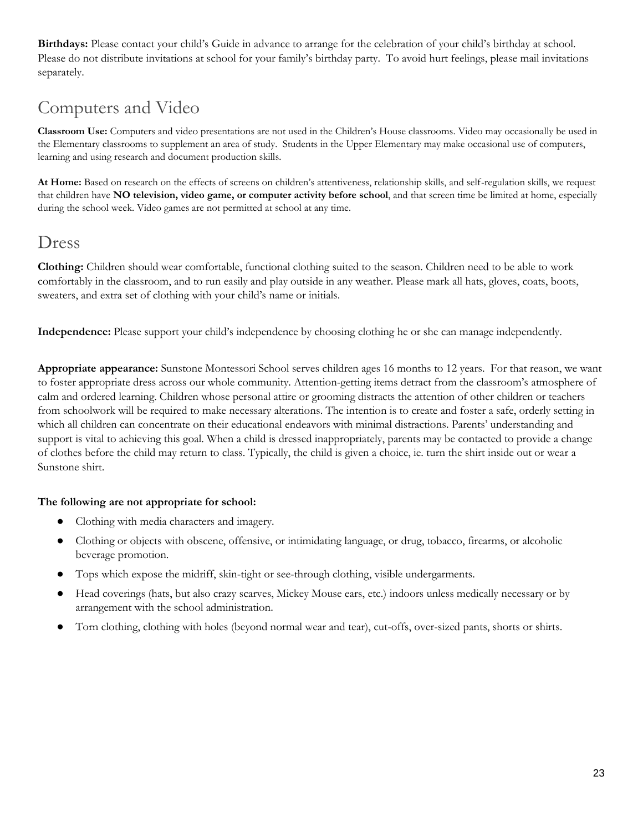**Birthdays:** Please contact your child's Guide in advance to arrange for the celebration of your child's birthday at school. Please do not distribute invitations at school for your family's birthday party. To avoid hurt feelings, please mail invitations separately.

# <span id="page-22-0"></span>Computers and Video

**Classroom Use:** Computers and video presentations are not used in the Children's House classrooms. Video may occasionally be used in the Elementary classrooms to supplement an area of study. Students in the Upper Elementary may make occasional use of computers, learning and using research and document production skills.

**At Home:** Based on research on the effects of screens on children's attentiveness, relationship skills, and self-regulation skills, we request that children have **NO television, video game, or computer activity before school**, and that screen time be limited at home, especially during the school week. Video games are not permitted at school at any time.

### <span id="page-22-1"></span>Dress

**Clothing:** Children should wear comfortable, functional clothing suited to the season. Children need to be able to work comfortably in the classroom, and to run easily and play outside in any weather. Please mark all hats, gloves, coats, boots, sweaters, and extra set of clothing with your child's name or initials.

**Independence:** Please support your child's independence by choosing clothing he or she can manage independently.

**Appropriate appearance:** Sunstone Montessori School serves children ages 16 months to 12 years. For that reason, we want to foster appropriate dress across our whole community. Attention-getting items detract from the classroom's atmosphere of calm and ordered learning. Children whose personal attire or grooming distracts the attention of other children or teachers from schoolwork will be required to make necessary alterations. The intention is to create and foster a safe, orderly setting in which all children can concentrate on their educational endeavors with minimal distractions. Parents' understanding and support is vital to achieving this goal. When a child is dressed inappropriately, parents may be contacted to provide a change of clothes before the child may return to class. Typically, the child is given a choice, ie. turn the shirt inside out or wear a Sunstone shirt.

#### **The following are not appropriate for school:**

- Clothing with media characters and imagery.
- Clothing or objects with obscene, offensive, or intimidating language, or drug, tobacco, firearms, or alcoholic beverage promotion.
- Tops which expose the midriff, skin-tight or see-through clothing, visible undergarments.
- Head coverings (hats, but also crazy scarves, Mickey Mouse ears, etc.) indoors unless medically necessary or by arrangement with the school administration.
- Torn clothing, clothing with holes (beyond normal wear and tear), cut-offs, over-sized pants, shorts or shirts.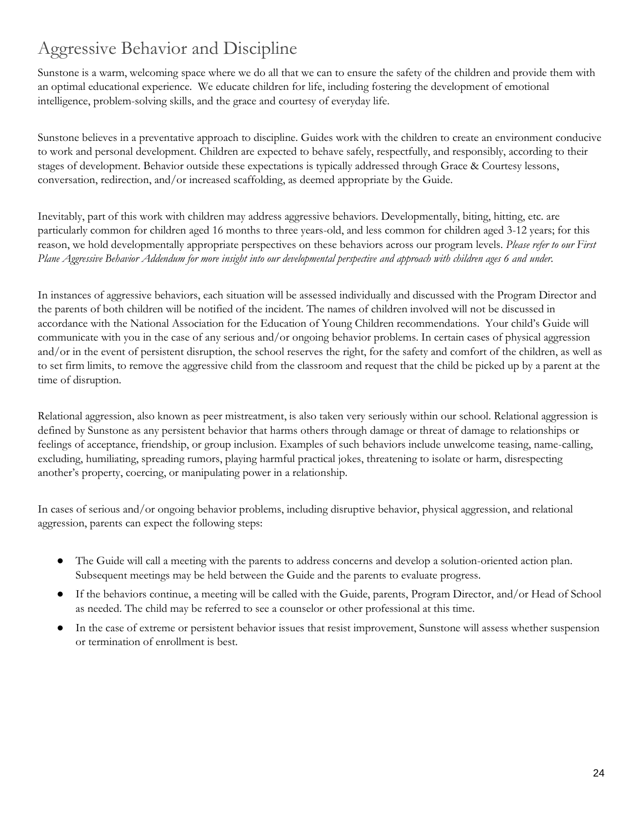# <span id="page-23-0"></span>Aggressive Behavior and Discipline

Sunstone is a warm, welcoming space where we do all that we can to ensure the safety of the children and provide them with an optimal educational experience. We educate children for life, including fostering the development of emotional intelligence, problem-solving skills, and the grace and courtesy of everyday life.

Sunstone believes in a preventative approach to discipline. Guides work with the children to create an environment conducive to work and personal development. Children are expected to behave safely, respectfully, and responsibly, according to their stages of development. Behavior outside these expectations is typically addressed through Grace & Courtesy lessons, conversation, redirection, and/or increased scaffolding, as deemed appropriate by the Guide.

Inevitably, part of this work with children may address aggressive behaviors. Developmentally, biting, hitting, etc. are particularly common for children aged 16 months to three years-old, and less common for children aged 3-12 years; for this reason, we hold developmentally appropriate perspectives on these behaviors across our program levels. *Please refer to our First Plane Aggressive Behavior Addendum for more insight into our developmental perspective and approach with children ages 6 and under.*

In instances of aggressive behaviors, each situation will be assessed individually and discussed with the Program Director and the parents of both children will be notified of the incident. The names of children involved will not be discussed in accordance with the National Association for the Education of Young Children recommendations. Your child's Guide will communicate with you in the case of any serious and/or ongoing behavior problems. In certain cases of physical aggression and/or in the event of persistent disruption, the school reserves the right, for the safety and comfort of the children, as well as to set firm limits, to remove the aggressive child from the classroom and request that the child be picked up by a parent at the time of disruption.

Relational aggression, also known as peer mistreatment, is also taken very seriously within our school. Relational aggression is defined by Sunstone as any persistent behavior that harms others through damage or threat of damage to relationships or feelings of acceptance, friendship, or group inclusion. Examples of such behaviors include unwelcome teasing, name-calling, excluding, humiliating, spreading rumors, playing harmful practical jokes, threatening to isolate or harm, disrespecting another's property, coercing, or manipulating power in a relationship.

In cases of serious and/or ongoing behavior problems, including disruptive behavior, physical aggression, and relational aggression, parents can expect the following steps:

- The Guide will call a meeting with the parents to address concerns and develop a solution-oriented action plan. Subsequent meetings may be held between the Guide and the parents to evaluate progress.
- If the behaviors continue, a meeting will be called with the Guide, parents, Program Director, and/or Head of School as needed. The child may be referred to see a counselor or other professional at this time.
- In the case of extreme or persistent behavior issues that resist improvement, Sunstone will assess whether suspension or termination of enrollment is best.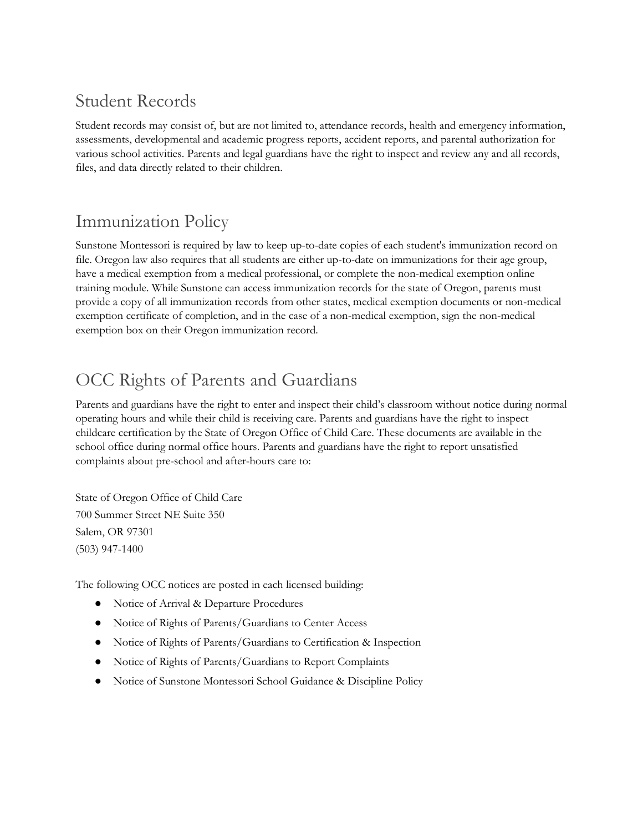## <span id="page-24-0"></span>Student Records

Student records may consist of, but are not limited to, attendance records, health and emergency information, assessments, developmental and academic progress reports, accident reports, and parental authorization for various school activities. Parents and legal guardians have the right to inspect and review any and all records, files, and data directly related to their children.

### <span id="page-24-1"></span>Immunization Policy

Sunstone Montessori is required by law to keep up-to-date copies of each student's immunization record on file. Oregon law also requires that all students are either up-to-date on immunizations for their age group, have a medical exemption from a medical professional, or complete the non-medical exemption online training module. While Sunstone can access immunization records for the state of Oregon, parents must provide a copy of all immunization records from other states, medical exemption documents or non-medical exemption certificate of completion, and in the case of a non-medical exemption, sign the non-medical exemption box on their Oregon immunization record.

# <span id="page-24-2"></span>OCC Rights of Parents and Guardians

Parents and guardians have the right to enter and inspect their child's classroom without notice during normal operating hours and while their child is receiving care. Parents and guardians have the right to inspect childcare certification by the State of Oregon Office of Child Care. These documents are available in the school office during normal office hours. Parents and guardians have the right to report unsatisfied complaints about pre-school and after-hours care to:

State of Oregon Office of Child Care 700 Summer Street NE Suite 350 Salem, OR 97301 (503) 947-1400

The following OCC notices are posted in each licensed building:

- Notice of Arrival & Departure Procedures
- Notice of Rights of Parents/Guardians to Center Access
- Notice of Rights of Parents/Guardians to Certification & Inspection
- Notice of Rights of Parents/Guardians to Report Complaints
- Notice of Sunstone Montessori School Guidance & Discipline Policy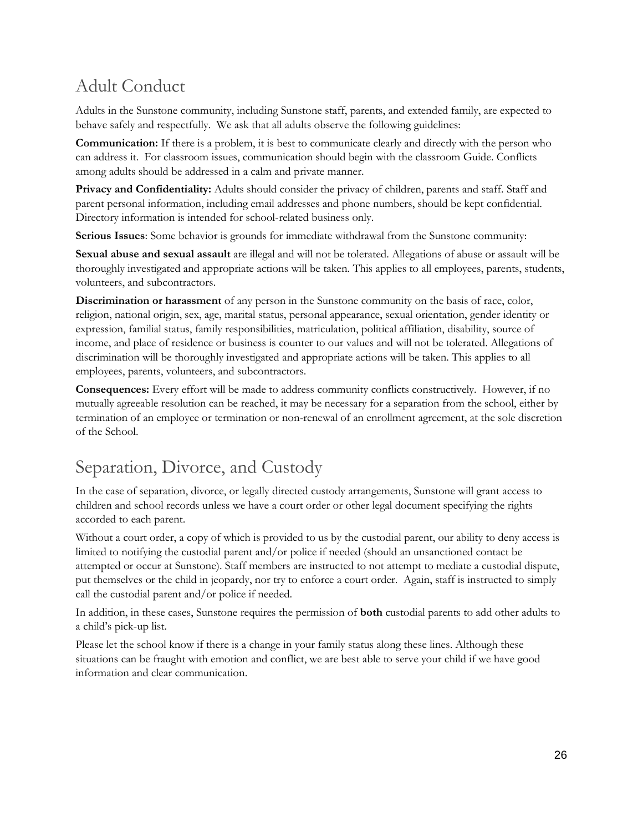# <span id="page-25-0"></span>Adult Conduct

Adults in the Sunstone community, including Sunstone staff, parents, and extended family, are expected to behave safely and respectfully. We ask that all adults observe the following guidelines:

**Communication:** If there is a problem, it is best to communicate clearly and directly with the person who can address it. For classroom issues, communication should begin with the classroom Guide. Conflicts among adults should be addressed in a calm and private manner.

**Privacy and Confidentiality:** Adults should consider the privacy of children, parents and staff. Staff and parent personal information, including email addresses and phone numbers, should be kept confidential. Directory information is intended for school-related business only.

**Serious Issues**: Some behavior is grounds for immediate withdrawal from the Sunstone community:

**Sexual abuse and sexual assault** are illegal and will not be tolerated. Allegations of abuse or assault will be thoroughly investigated and appropriate actions will be taken. This applies to all employees, parents, students, volunteers, and subcontractors.

**Discrimination or harassment** of any person in the Sunstone community on the basis of race, color, religion, national origin, sex, age, marital status, personal appearance, sexual orientation, gender identity or expression, familial status, family responsibilities, matriculation, political affiliation, disability, source of income, and place of residence or business is counter to our values and will not be tolerated. Allegations of discrimination will be thoroughly investigated and appropriate actions will be taken. This applies to all employees, parents, volunteers, and subcontractors.

**Consequences:** Every effort will be made to address community conflicts constructively. However, if no mutually agreeable resolution can be reached, it may be necessary for a separation from the school, either by termination of an employee or termination or non-renewal of an enrollment agreement, at the sole discretion of the School.

# <span id="page-25-1"></span>Separation, Divorce, and Custody

In the case of separation, divorce, or legally directed custody arrangements, Sunstone will grant access to children and school records unless we have a court order or other legal document specifying the rights accorded to each parent.

Without a court order, a copy of which is provided to us by the custodial parent, our ability to deny access is limited to notifying the custodial parent and/or police if needed (should an unsanctioned contact be attempted or occur at Sunstone). Staff members are instructed to not attempt to mediate a custodial dispute, put themselves or the child in jeopardy, nor try to enforce a court order. Again, staff is instructed to simply call the custodial parent and/or police if needed.

In addition, in these cases, Sunstone requires the permission of **both** custodial parents to add other adults to a child's pick-up list.

Please let the school know if there is a change in your family status along these lines. Although these situations can be fraught with emotion and conflict, we are best able to serve your child if we have good information and clear communication.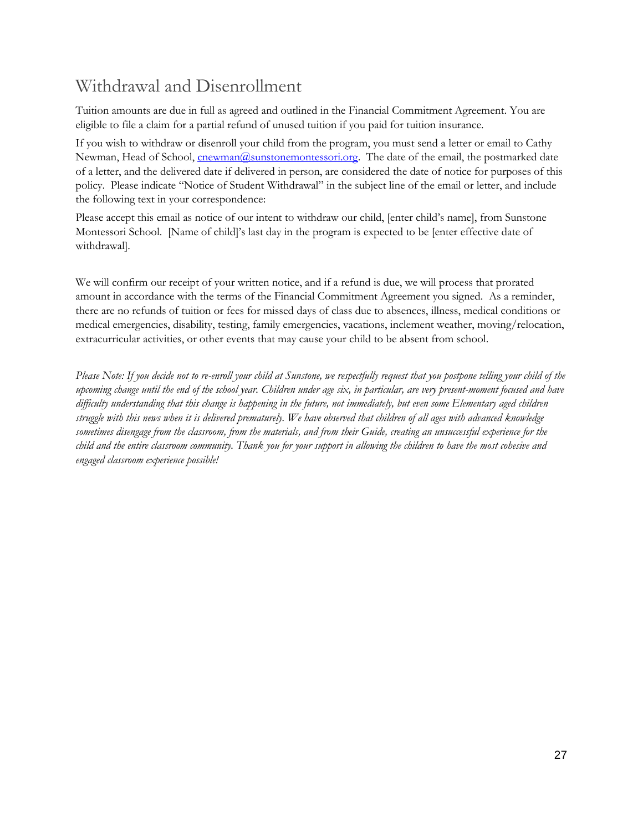## <span id="page-26-0"></span>Withdrawal and Disenrollment

Tuition amounts are due in full as agreed and outlined in the Financial Commitment Agreement. You are eligible to file a claim for a partial refund of unused tuition if you paid for tuition insurance.

If you wish to withdraw or disenroll your child from the program, you must send a letter or email to Cathy Newman, Head of School, [cnewman@sunstonemontessori.org.](mailto:cnewman@sunstonemontessori.org) The date of the email, the postmarked date of a letter, and the delivered date if delivered in person, are considered the date of notice for purposes of this policy. Please indicate "Notice of Student Withdrawal" in the subject line of the email or letter, and include the following text in your correspondence:

Please accept this email as notice of our intent to withdraw our child, [enter child's name], from Sunstone Montessori School. [Name of child]'s last day in the program is expected to be [enter effective date of withdrawal].

We will confirm our receipt of your written notice, and if a refund is due, we will process that prorated amount in accordance with the terms of the Financial Commitment Agreement you signed. As a reminder, there are no refunds of tuition or fees for missed days of class due to absences, illness, medical conditions or medical emergencies, disability, testing, family emergencies, vacations, inclement weather, moving/relocation, extracurricular activities, or other events that may cause your child to be absent from school.

*Please Note: If you decide not to re-enroll your child at Sunstone, we respectfully request that you postpone telling your child of the upcoming change until the end of the school year. Children under age six, in particular, are very present-moment focused and have difficulty understanding that this change is happening in the future, not immediately, but even some Elementary aged children struggle with this news when it is delivered prematurely. We have observed that children of all ages with advanced knowledge sometimes disengage from the classroom, from the materials, and from their Guide, creating an unsuccessful experience for the child and the entire classroom community. Thank you for your support in allowing the children to have the most cohesive and engaged classroom experience possible!*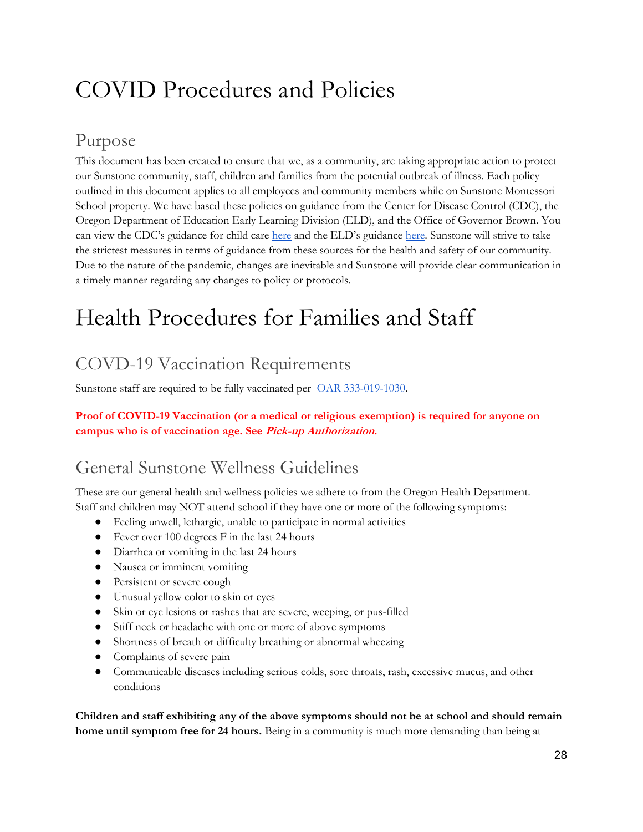# <span id="page-27-0"></span>COVID Procedures and Policies

## Purpose

This document has been created to ensure that we, as a community, are taking appropriate action to protect our Sunstone community, staff, children and families from the potential outbreak of illness. Each policy outlined in this document applies to all employees and community members while on Sunstone Montessori School property. We have based these policies on guidance from the Center for Disease Control (CDC), the Oregon Department of Education Early Learning Division (ELD), and the Office of Governor Brown. You can view the CDC's guidance for child care [here](https://www.cdc.gov/coronavirus/2019-ncov/community/schools-childcare/guidance-for-childcare.html) and the ELD's guidance [here.](https://oregonearlylearning.com/COVID-19-Resources/For-Providers) Sunstone will strive to take the strictest measures in terms of guidance from these sources for the health and safety of our community. Due to the nature of the pandemic, changes are inevitable and Sunstone will provide clear communication in a timely manner regarding any changes to policy or protocols.

# <span id="page-27-1"></span>Health Procedures for Families and Staff

# <span id="page-27-2"></span>COVD-19 Vaccination Requirements

Sunstone staff are required to be fully vaccinated per [OAR 333-019-1030.](https://secure.sos.state.or.us/oard/viewSingleRule.action?ruleVrsnRsn=280616&utm_medium=email&utm_source=govdelivery)

**Proof of COVID-19 Vaccination (or a medical or religious exemption) is required for anyone on campus who is of vaccination age. See Pick-up Authorization.**

## <span id="page-27-3"></span>General Sunstone Wellness Guidelines

These are our general health and wellness policies we adhere to from the Oregon Health Department. Staff and children may NOT attend school if they have one or more of the following symptoms:

- Feeling unwell, lethargic, unable to participate in normal activities
- Fever over 100 degrees F in the last 24 hours
- Diarrhea or vomiting in the last 24 hours
- Nausea or imminent vomiting
- Persistent or severe cough
- Unusual yellow color to skin or eyes
- Skin or eye lesions or rashes that are severe, weeping, or pus-filled
- Stiff neck or headache with one or more of above symptoms
- Shortness of breath or difficulty breathing or abnormal wheezing
- Complaints of severe pain
- Communicable diseases including serious colds, sore throats, rash, excessive mucus, and other conditions

**Children and staff exhibiting any of the above symptoms should not be at school and should remain home until symptom free for 24 hours.** Being in a community is much more demanding than being at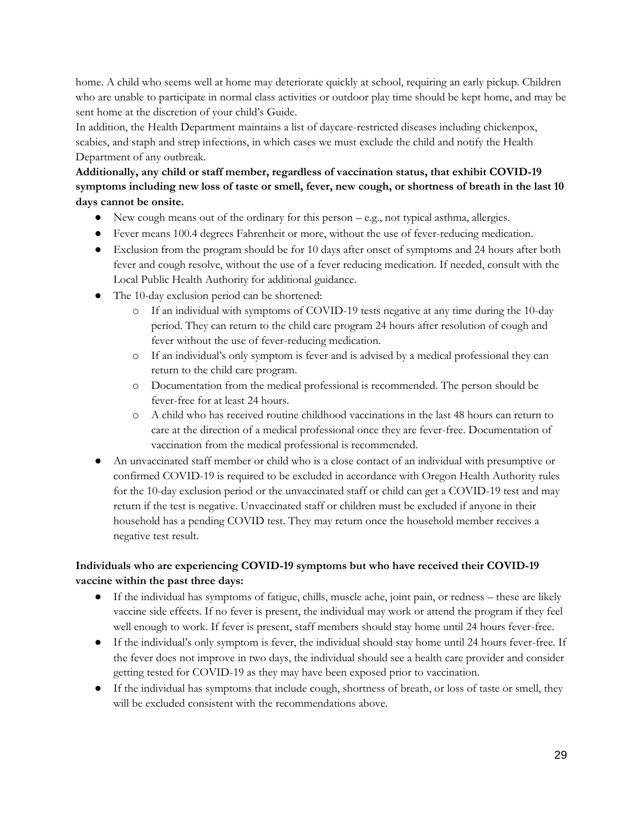home. A child who seems well at home may deteriorate quickly at school, requiring an early pickup. Children who are unable to participate in normal class activities or outdoor play time should be kept home, and may be sent home at the discretion of your child's Guide.

In addition, the Health Department maintains a list of daycare-restricted diseases including chickenpox, scabies, and staph and strep infections, in which cases we must exclude the child and notify the Health Department of any outbreak.

#### **Additionally, any child or staff member, regardless of vaccination status, that exhibit COVID-19 symptoms including new loss of taste or smell, fever, new cough, or shortness of breath in the last 10 days cannot be onsite.**

- New cough means out of the ordinary for this person e.g., not typical asthma, allergies.
- Fever means 100.4 degrees Fahrenheit or more, without the use of fever-reducing medication.
- Exclusion from the program should be for 10 days after onset of symptoms and 24 hours after both fever and cough resolve, without the use of a fever reducing medication. If needed, consult with the Local Public Health Authority for additional guidance.
- The 10-day exclusion period can be shortened:
	- o If an individual with symptoms of COVID-19 tests negative at any time during the 10-day period. They can return to the child care program 24 hours after resolution of cough and fever without the use of fever-reducing medication.
	- o If an individual's only symptom is fever and is advised by a medical professional they can return to the child care program.
	- o Documentation from the medical professional is recommended. The person should be fever-free for at least 24 hours.
	- o A child who has received routine childhood vaccinations in the last 48 hours can return to care at the direction of a medical professional once they are fever-free. Documentation of vaccination from the medical professional is recommended.
- An unvaccinated staff member or child who is a close contact of an individual with presumptive or confirmed COVID-19 is required to be excluded in accordance with Oregon Health Authority rules for the 10-day exclusion period or the unvaccinated staff or child can get a COVID-19 test and may return if the test is negative. Unvaccinated staff or children must be excluded if anyone in their household has a pending COVID test. They may return once the household member receives a negative test result.

#### **Individuals who are experiencing COVID-19 symptoms but who have received their COVID-19 vaccine within the past three days:**

- If the individual has symptoms of fatigue, chills, muscle ache, joint pain, or redness these are likely vaccine side effects. If no fever is present, the individual may work or attend the program if they feel well enough to work. If fever is present, staff members should stay home until 24 hours fever-free.
- If the individual's only symptom is fever, the individual should stay home until 24 hours fever-free. If the fever does not improve in two days, the individual should see a health care provider and consider getting tested for COVID-19 as they may have been exposed prior to vaccination.
- If the individual has symptoms that include cough, shortness of breath, or loss of taste or smell, they will be excluded consistent with the recommendations above.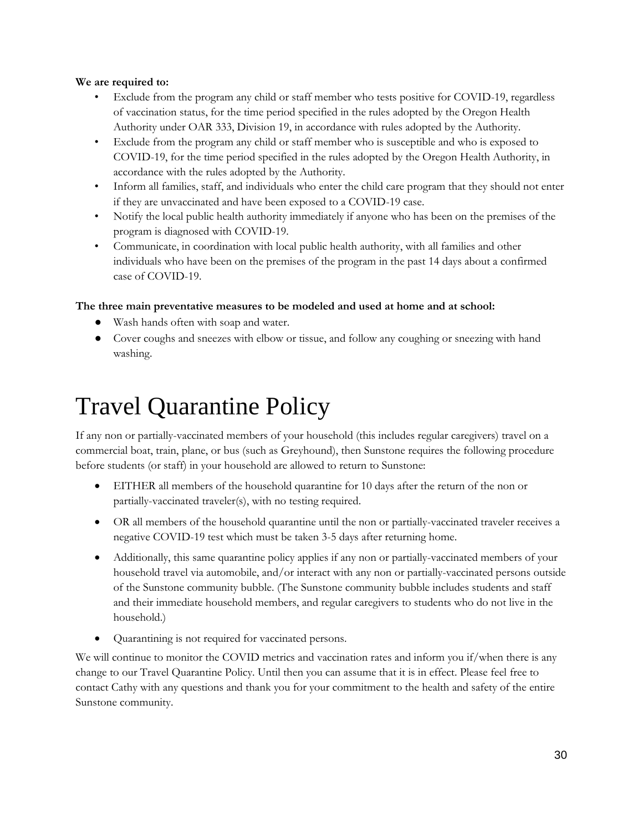#### **We are required to:**

- Exclude from the program any child or staff member who tests positive for COVID-19, regardless of vaccination status, for the time period specified in the rules adopted by the Oregon Health Authority under OAR 333, Division 19, in accordance with rules adopted by the Authority.
- Exclude from the program any child or staff member who is susceptible and who is exposed to COVID-19, for the time period specified in the rules adopted by the Oregon Health Authority, in accordance with the rules adopted by the Authority.
- Inform all families, staff, and individuals who enter the child care program that they should not enter if they are unvaccinated and have been exposed to a COVID-19 case.
- Notify the local public health authority immediately if anyone who has been on the premises of the program is diagnosed with COVID-19.
- Communicate, in coordination with local public health authority, with all families and other individuals who have been on the premises of the program in the past 14 days about a confirmed case of COVID-19.

#### **The three main preventative measures to be modeled and used at home and at school:**

- Wash hands often with soap and water.
- Cover coughs and sneezes with elbow or tissue, and follow any coughing or sneezing with hand washing.

# <span id="page-29-0"></span>Travel Quarantine Policy

If any non or partially-vaccinated members of your household (this includes regular caregivers) travel on a commercial boat, train, plane, or bus (such as Greyhound), then Sunstone requires the following procedure before students (or staff) in your household are allowed to return to Sunstone:

- EITHER all members of the household quarantine for 10 days after the return of the non or partially-vaccinated traveler(s), with no testing required.
- OR all members of the household quarantine until the non or partially-vaccinated traveler receives a negative COVID-19 test which must be taken 3-5 days after returning home.
- Additionally, this same quarantine policy applies if any non or partially-vaccinated members of your household travel via automobile, and/or interact with any non or partially-vaccinated persons outside of the Sunstone community bubble. (The Sunstone community bubble includes students and staff and their immediate household members, and regular caregivers to students who do not live in the household.)
- Quarantining is not required for vaccinated persons.

We will continue to monitor the COVID metrics and vaccination rates and inform you if/when there is any change to our Travel Quarantine Policy. Until then you can assume that it is in effect. Please feel free to contact Cathy with any questions and thank you for your commitment to the health and safety of the entire Sunstone community.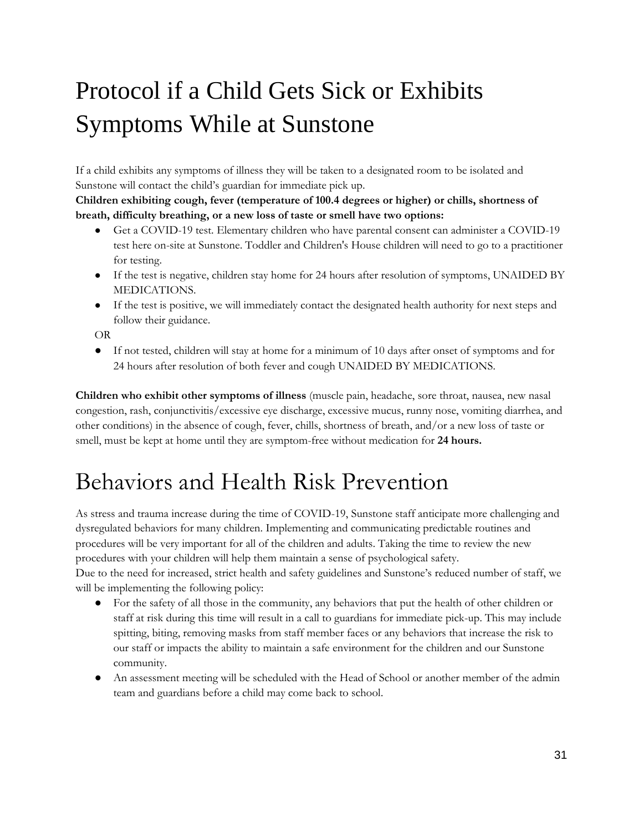# <span id="page-30-0"></span>Protocol if a Child Gets Sick or Exhibits Symptoms While at Sunstone

If a child exhibits any symptoms of illness they will be taken to a designated room to be isolated and Sunstone will contact the child's guardian for immediate pick up.

**Children exhibiting cough, fever (temperature of 100.4 degrees or higher) or chills, shortness of breath, difficulty breathing, or a new loss of taste or smell have two options:**

- Get a COVID-19 test. Elementary children who have parental consent can administer a COVID-19 test here on-site at Sunstone. Toddler and Children's House children will need to go to a practitioner for testing.
- If the test is negative, children stay home for 24 hours after resolution of symptoms, UNAIDED BY MEDICATIONS.
- If the test is positive, we will immediately contact the designated health authority for next steps and follow their guidance.

OR

● If not tested, children will stay at home for a minimum of 10 days after onset of symptoms and for 24 hours after resolution of both fever and cough UNAIDED BY MEDICATIONS.

**Children who exhibit other symptoms of illness** (muscle pain, headache, sore throat, nausea, new nasal congestion, rash, conjunctivitis/excessive eye discharge, excessive mucus, runny nose, vomiting diarrhea, and other conditions) in the absence of cough, fever, chills, shortness of breath, and/or a new loss of taste or smell, must be kept at home until they are symptom-free without medication for **24 hours.**

# <span id="page-30-1"></span>Behaviors and Health Risk Prevention

As stress and trauma increase during the time of COVID-19, Sunstone staff anticipate more challenging and dysregulated behaviors for many children. Implementing and communicating predictable routines and procedures will be very important for all of the children and adults. Taking the time to review the new procedures with your children will help them maintain a sense of psychological safety. Due to the need for increased, strict health and safety guidelines and Sunstone's reduced number of staff, we will be implementing the following policy:

- For the safety of all those in the community, any behaviors that put the health of other children or staff at risk during this time will result in a call to guardians for immediate pick-up. This may include spitting, biting, removing masks from staff member faces or any behaviors that increase the risk to our staff or impacts the ability to maintain a safe environment for the children and our Sunstone community.
- An assessment meeting will be scheduled with the Head of School or another member of the admin team and guardians before a child may come back to school.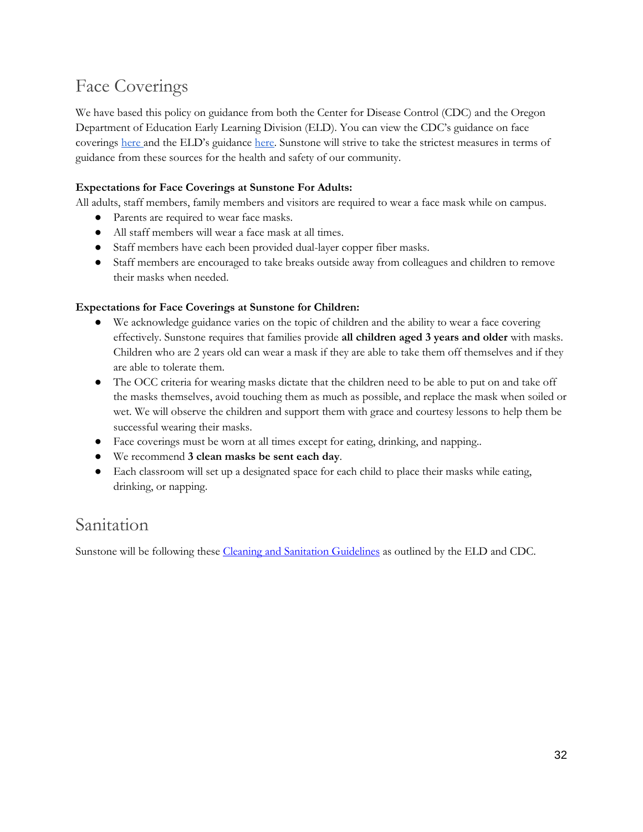## <span id="page-31-0"></span>Face Coverings

We have based this policy on guidance from both the Center for Disease Control (CDC) and the Oregon Department of Education Early Learning Division (ELD). You can view the CDC's guidance on face coverings [here](https://www.cdc.gov/coronavirus/2019-ncov/prevent-getting-sick/diy-cloth-face-coverings.html) and the ELD's guidance [here.](https://oregonearlylearning.com/COVID-19-Resources/For-Providers) Sunstone will strive to take the strictest measures in terms of guidance from these sources for the health and safety of our community.

#### **Expectations for Face Coverings at Sunstone For Adults:**

All adults, staff members, family members and visitors are required to wear a face mask while on campus.

- Parents are required to wear face masks.
- All staff members will wear a face mask at all times.
- Staff members have each been provided dual-layer copper fiber masks.
- Staff members are encouraged to take breaks outside away from colleagues and children to remove their masks when needed.

#### **Expectations for Face Coverings at Sunstone for Children:**

- We acknowledge guidance varies on the topic of children and the ability to wear a face covering effectively. Sunstone requires that families provide **all children aged 3 years and older** with masks. Children who are 2 years old can wear a mask if they are able to take them off themselves and if they are able to tolerate them.
- The OCC criteria for wearing masks dictate that the children need to be able to put on and take off the masks themselves, avoid touching them as much as possible, and replace the mask when soiled or wet. We will observe the children and support them with grace and courtesy lessons to help them be successful wearing their masks.
- Face coverings must be worn at all times except for eating, drinking, and napping..
- We recommend **3 clean masks be sent each day**.
- Each classroom will set up a designated space for each child to place their masks while eating, drinking, or napping.

### <span id="page-31-1"></span>Sanitation

Sunstone will be following these [Cleaning and Sanitation Guidelines](https://oregonearlylearning.com/wp-content/uploads/2021/05/WEB_Updated_Version2.0_Health-and-Safety-Guidelines_ENGLISH.pdf) as outlined by the ELD and CDC.